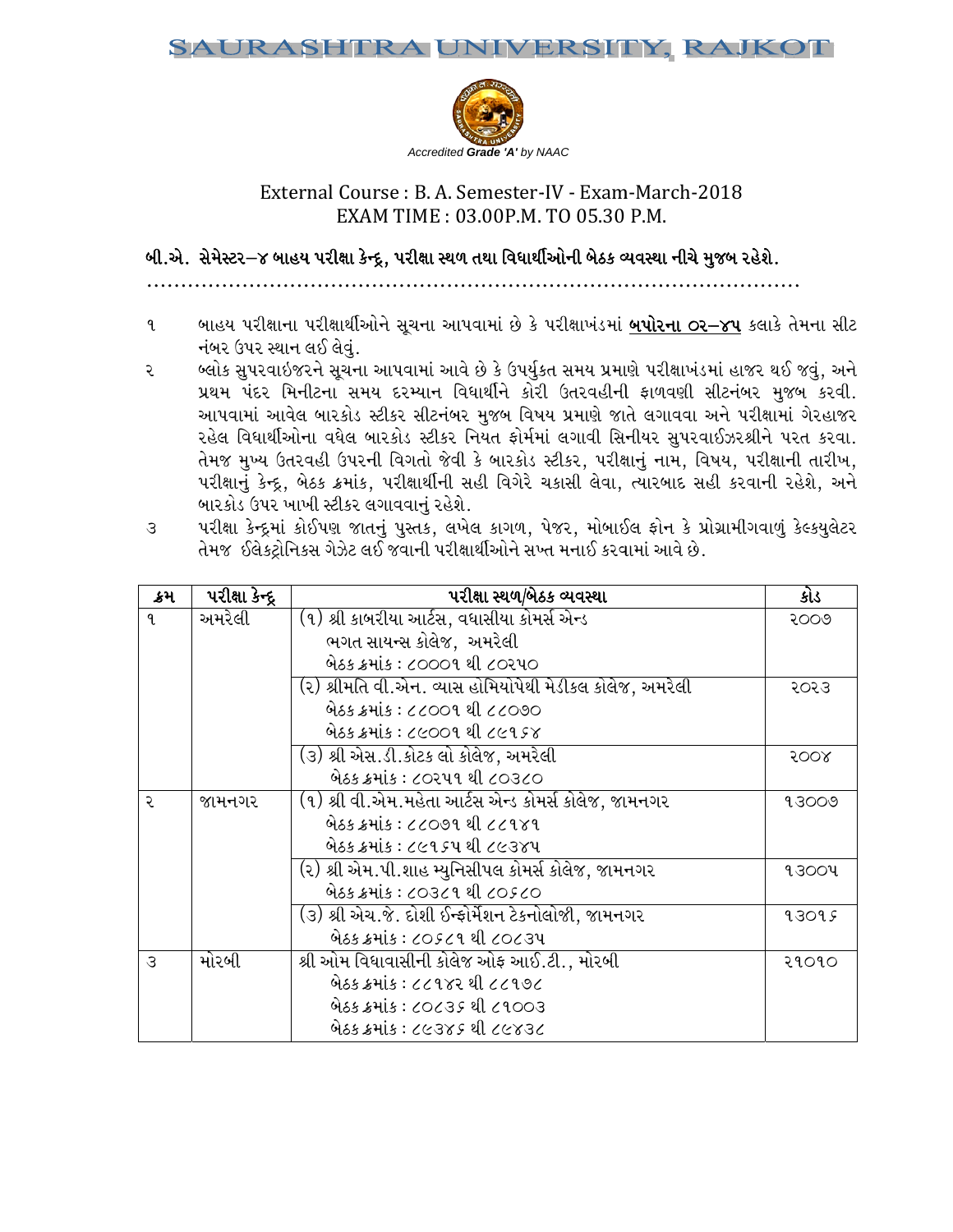

## External Course : B. A. Semester-IV - Exam-March-2018 EXAM M TIME : 0 03.00P.M. TO 05.30 P.M.

## ALPV[P ;[ ;[D[:8Zv\$ AFC CI 5ZL1FF S[gN= N=4 5ZL1FF :Y/ / TYF lJWFYL" L"VMGL A[9S jI IJ:YF GLR[ D] D]HA ZC[X[P

- ૧ બાહય પરીક્ષાના પરીક્ષાર્થીઓને સૂચના આપવામાં છે કે પરીક્ષાખંડમાં <u>**બપોરના ૦ર–૪૫** કલાકે</u> તેમના સીટ નંબર ઉપર સ્થાન લઈ લેવું.
- ૨ બ્લોક સુપરવાઇજરને સૂચના આપવામાં આવે છે કે ઉપર્યુકત સમય પ્રમાણે પરીક્ષાખંડમાં હાજર થઈ જવું, અને પ્રથમ પંદર મિનીટના સમય દરમ્યાન વિધાર્થીને કોરી ઉતરવહીની ફાળવણી સીટનંબર મુજબ કરવી. આપવામાં આવેલ બારકોડ સ્ટીકર સીટનંબર મુજબ વિષય પ્રમાણે જાતે લગાવવા અને પરીક્ષામાં ગેરહાજર રહેલ વિધાર્થીઓના વધેલ બારકોડ સ્ટીકર નિયત ફોર્મમાં લગાવી સિનીયર સુપરવાઈઝરશ્રીને પરત કરવા. તેમજ મુખ્ય ઉતરવહી ઉપરની વિગતો જેવી કે બારકોડ સ્ટીકર, પરીક્ષાનું નામ, વિષય, પરીક્ષાની તારીખ, પરીક્ષાનું કેન્દ્ર, બેઠક ક્રમાંક, પરીક્ષાર્થીની સહી વિગેરે ચકાસી લેવા, ત્યારબાદ સહી કરવાની રહેશે, અને બારકોડ ઉપર ખાખી સ્ટીકર લગાવવાનું રહેશે.
- ૩ પરીક્ષા કેન્દ્રમાં કોઈપણ જાતનું પુસ્તક, લખેલ કાગળ, પેજર, મોબાઈલ ફોન કે પ્રોગ્રામીગવાળું કેલ્કયુલેટર T[ TDH .,[S8=MlG lGS; U[h[8 ,. . HJFGL 5ZL 1FFYL"VMG[ ;b bT DGF. SZJ JFDF\ VFJ[ K[P

| External Course : B. A. Semester-IV - Exam-March-2018<br>EXAM TIME: 03.00P.M. TO 05.30 P.M. |                                                                                                         |                                                                                                                                                                                         |                  |  |  |
|---------------------------------------------------------------------------------------------|---------------------------------------------------------------------------------------------------------|-----------------------------------------------------------------------------------------------------------------------------------------------------------------------------------------|------------------|--|--|
|                                                                                             | બી.એ.  સેમેસ્ટર $-$ ૪ બાહય પરીક્ષા કેન્દ્ર, પરીક્ષા સ્થળ તથા વિધાર્થીઓની બેઠક વ્યવસ્થા નીચે મુજબ રહેશે. |                                                                                                                                                                                         |                  |  |  |
|                                                                                             |                                                                                                         |                                                                                                                                                                                         |                  |  |  |
| L                                                                                           |                                                                                                         | બાહય પરીક્ષાના પરીક્ષાર્થીઓને સૂચના આપવામાં છે કે પરીક્ષાખંડમાં <u><b>બપોરના ૦ર−૪૫</b> ક</u> લાકે તેમના સીટ                                                                             |                  |  |  |
|                                                                                             | નંબર ઉપર સ્થાન લઈ લેવું.                                                                                |                                                                                                                                                                                         |                  |  |  |
| ર                                                                                           |                                                                                                         | બ્લોક સુપરવાઇજરને સૂચના આપવામાં આવે છે કે ઉપર્યુકત સમય પ્રમાણે પરીક્ષાખંડમાં હાજર થઈ જવું, અને                                                                                          |                  |  |  |
|                                                                                             |                                                                                                         | પ્રથમ પંદર મિનીટના સમય દરમ્યાન વિધાર્થીને કોરી ઉતરવહીની ફાળવણી સીટનંબર મુજબ કરવી.                                                                                                       |                  |  |  |
|                                                                                             |                                                                                                         | આપવામાં આવેલ બારકોડ સ્ટીકર સીટનંબર મુજબ વિષય પ્રમાણે જાતે લગાવવા અને પરીક્ષામાં ગેરહાજર                                                                                                 |                  |  |  |
|                                                                                             |                                                                                                         | રહેલ વિધાર્થીઓના વધેલ બારકોડ સ્ટીકર નિયત ફોર્મમાં લગાવી સિનીયર સુપરવાઈઝરશ્રીને પરત કરવા.<br>તેમજ મુખ્ય ઉતરવહી ઉપરની વિગતો જેવી કે બારકોડ સ્ટીકર, પરીક્ષાનું નામ, વિષય, પરીક્ષાની તારીખ, |                  |  |  |
|                                                                                             |                                                                                                         | પરીક્ષાનું કેન્દ્ર, બેઠક ક્રમાંક, પરીક્ષાર્થીની સહી વિગેરે ચકાસી લેવા, ત્યારબાદ સહી કરવાની રહેશે, અને                                                                                   |                  |  |  |
|                                                                                             |                                                                                                         | બારકોડ ઉપર ખાખી સ્ટીકર લગાવવાનું રહેશે.                                                                                                                                                 |                  |  |  |
| $\mathcal{S}$                                                                               |                                                                                                         | પરીક્ષા કેન્દ્રમાં કોઈપણ જાતનું પુસ્તક, લખેલ કાગળ, પેજર, મોબાઈલ ફોન કે પ્રોગ્રામીગવાળું કેલ્કયુલેટર                                                                                     |                  |  |  |
|                                                                                             |                                                                                                         | તેમજ  ઈલેક્ટ્રોનિકસ ગેઝેટ લઈ જવાની પરીક્ષાર્થીઓને સખ્ત મનાઈ કરવામાં આવે છે.                                                                                                             |                  |  |  |
|                                                                                             |                                                                                                         |                                                                                                                                                                                         |                  |  |  |
| ક્રમ                                                                                        | પરીક્ષા કેન્દ્ર                                                                                         | પરીક્ષા સ્થળ/બેઠક વ્યવસ્થા                                                                                                                                                              | કોડ              |  |  |
| 9.                                                                                          | અમરેલી                                                                                                  | (૧) શ્રી કાબરીયા આર્ટસ, વધાસીયા કોમર્સ એન્ડ                                                                                                                                             | २००७             |  |  |
|                                                                                             |                                                                                                         |                                                                                                                                                                                         |                  |  |  |
|                                                                                             |                                                                                                         | ભગત સાયન્સ કોલેજ, અમરેલી                                                                                                                                                                |                  |  |  |
|                                                                                             |                                                                                                         | બેઠક ક્રમાંક : ૮૦૦૦૧ થી ૮૦૨૫૦                                                                                                                                                           |                  |  |  |
|                                                                                             |                                                                                                         | (૨) શ્રીમતિ વી.એન. વ્યાસ હોમિયોપેથી મેડીકલ કોલેજ, અમરેલી                                                                                                                                | २०२३             |  |  |
|                                                                                             |                                                                                                         | બેઠક ક્રમાંક : ૮૮૦૦૧ થી ૮૮૦૭૦                                                                                                                                                           |                  |  |  |
|                                                                                             |                                                                                                         | બેઠક ક્રમાંક : ૮૯૦૦૧ થી ૮૯૧૬૪                                                                                                                                                           |                  |  |  |
|                                                                                             |                                                                                                         | (૩) શ્રી એસ.ડી.કોટક લો કોલેજ, અમરેલી                                                                                                                                                    | 500 <sub>8</sub> |  |  |
|                                                                                             |                                                                                                         | બેઠક ક્રમાંક : ૮૦૨૫૧ થી ૮૦૩૮૦                                                                                                                                                           |                  |  |  |
| ૨                                                                                           | જામનગર                                                                                                  | (૧) શ્રી વી.એમ.મહેતા આર્ટસ એન્ડ કોમર્સ કોલેજ, જામનગર                                                                                                                                    | 93009            |  |  |
|                                                                                             |                                                                                                         | બેઠક ક્રમાંક : ૮૮૦૭૧ થી ૮૮૧૪૧                                                                                                                                                           |                  |  |  |
|                                                                                             |                                                                                                         | બેઠક ક્રમાંક : ૮૯૧૬૫ થી ૮૯૩૪૫                                                                                                                                                           |                  |  |  |
|                                                                                             |                                                                                                         | (૨) શ્રી એમ.પી.શાહ મ્યુનિસીપલ કોમર્સ કોલેજ, જામનગર<br>બેઠક ક્રમાંક : ૮૦૩૮૧ થી ૮૦૬૮૦                                                                                                     | 93004            |  |  |
|                                                                                             |                                                                                                         | (૩) શ્રી એચ.જે. દોશી ઈન્ફોર્મેશન ટેકનોલોજી, જામનગર                                                                                                                                      | 93095            |  |  |
|                                                                                             |                                                                                                         | બેઠક ક્રમાંક : ૮૦૬૮૧ થી ૮૦૮૩૫                                                                                                                                                           |                  |  |  |
| $\mathcal{S}$                                                                               | મોરબી                                                                                                   | શ્રી ઓમ વિધાવાસીની કોલેજ ઓફ આઈ.ટી., મોરબી                                                                                                                                               | २१०१०            |  |  |
|                                                                                             |                                                                                                         | બેઠક ક્રમાંક : ૮૮૧૪૨ થી ૮૮૧૭૮                                                                                                                                                           |                  |  |  |
|                                                                                             |                                                                                                         | બેઠક ક્રમાંક : ૮૦૮૩૬ થી ૮૧૦૦૩<br>બેઠક ક્રમાંક : ૮૯૩૪૬ થી ૮૯૪૩૮                                                                                                                          |                  |  |  |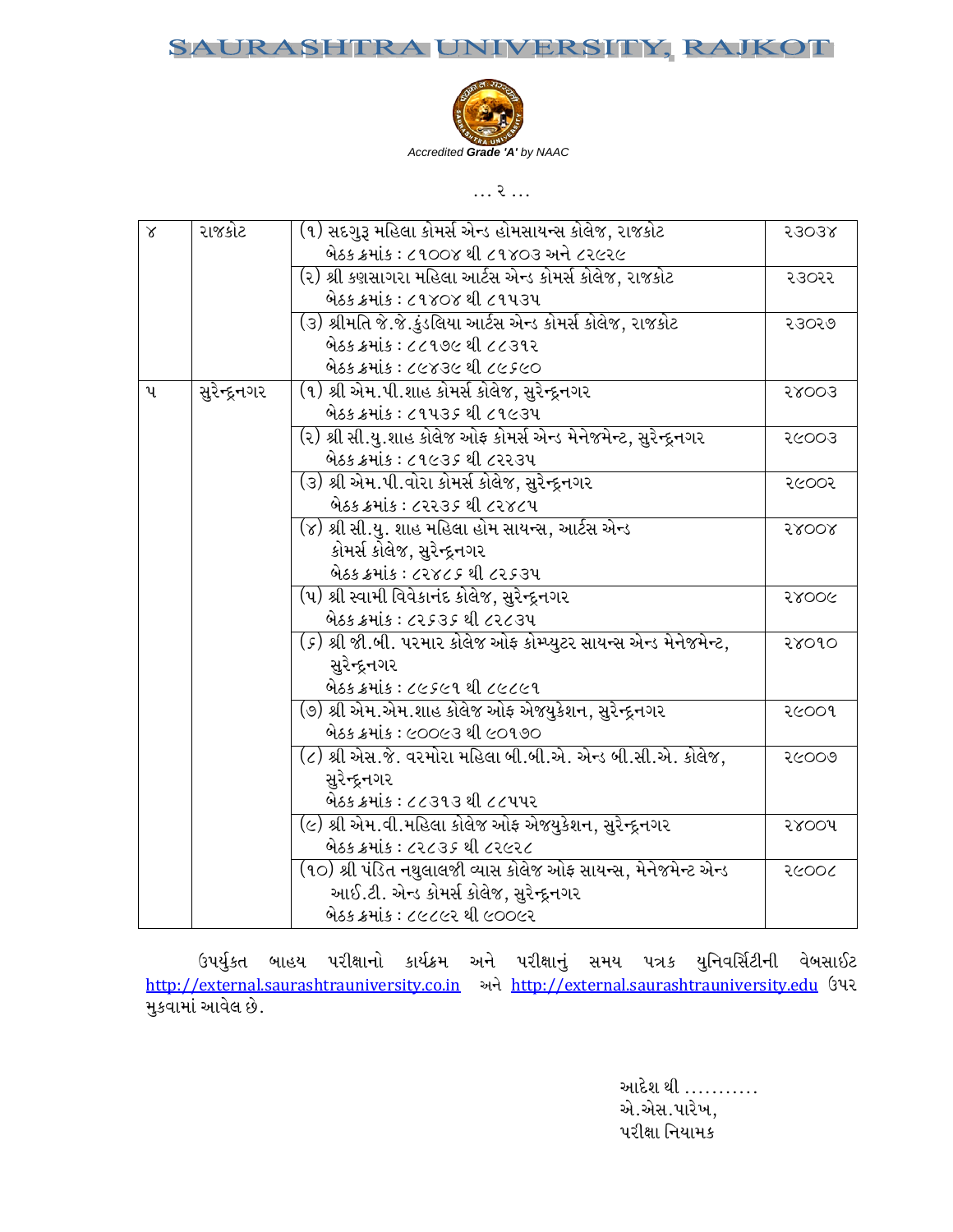### JRASI RA UNIVERSITY, RAJKOT SAU



 $P$ 

| $\alpha$ | રાજકોટ            | (૧) સદગુરૂ મહિલા કોમર્સ એન્ડ હોમસાયન્સ કોલેજ, રાજકોટ                                        | 53038   |
|----------|-------------------|---------------------------------------------------------------------------------------------|---------|
|          |                   | બેઠક ક્રમાંક : ૮૧૦૦૪ થી ૮૧૪૦૩ અને ૮૨૯૨૯                                                     |         |
|          |                   | (૨) શ્રી કણસાગરા મહિલા આર્ટસ એન્ડ કોમર્સ કોલેજ, રાજકોટ                                      | २३०२२   |
|          |                   | બેઠક ક્રમાંક : ૮૧૪૦૪ થી ૮૧૫૩૫                                                               |         |
|          |                   | (૩) શ્રીમતિ જે.જે.કુંડલિયા આર્ટસ એન્ડ કોમર્સ કોલેજ, રાજકોટ                                  | २३०२७   |
|          |                   | બેઠક ક્રમાંક : ૮૮૧૭૯ થી ૮૮૩૧૨                                                               |         |
|          |                   | બેઠક ક્રમાંક : ૮૯૪૩૯ થી ૮૯૬૯૦                                                               |         |
| પ        | સુરેન્દ્રનગર      | (૧) શ્રી એમ.પી.શાહ કોમર્સ કોલેજ, સુરેન્દ્રનગર                                               | 58003   |
|          |                   | બેઠક ક્રમાંક : ૮૧૫૩૬ થી ૮૧૯૩૫                                                               |         |
|          |                   | (૨) શ્રી સી.યુ.શાહ કોલેજ ઓફ કોમર્સ એન્ડ મેનેજમેન્ટ, સુરેન્દ્રનગર                            | २८००३   |
|          |                   | બેઠક ક્રમાંક : ૮૧૯૩૬ થી ૮૨૨૩૫                                                               |         |
|          |                   | (૩) શ્રી એમ.પી.વોરા કોમર્સ કોલેજ, સુરેન્દ્રનગર                                              | २૯००२   |
|          |                   | બેઠક ક્રમાંક : ૮૨૨૩૬ થી ૮૨૪૮૫                                                               |         |
|          |                   | (૪) શ્રી સી.યુ. શાહ મહિલા હોમ સાયન્સ, આર્ટસ એન્ડ                                            | 58008   |
|          |                   | કોમર્સ કોલેજ, સુરેન્દ્રનગર                                                                  |         |
|          |                   | બેઠક ક્રમાંક : ૮૨૪૮૬ થી ૮૨૬૩૫                                                               |         |
|          |                   | (૫) શ્રી સ્વામી વિવેકાનંદ કોલેજ, સુરેન્દ્રનગર                                               | 5800G   |
|          |                   | બેઠક ક્રમાંક : ૮૨૬૩૬ થી ૮૨૮૩૫                                                               |         |
|          |                   | ( <i>૬</i> ) શ્રી જી.બી. પરમાર કોલેજ ઓફ કોમ્પ્યુટર સાયન્સ એન્ડ મેનેજમેન્ટ,                  | २४०१०   |
|          |                   | સુરેન્દ્રનગર                                                                                |         |
|          |                   | બેઠક ક્રમાંક : ૮૯૬૯૧ થી ૮૯૮૯૧                                                               |         |
|          |                   | (૭) શ્રી એમ.એમ.શાહ કોલેજ ઓફ એજયુકેશન, સુરેન્દ્રનગર                                          | २૯००१   |
|          |                   | બેઠક ક્રમાંક : ૯૦૦૯૩ થી ૯૦૧૭૦                                                               |         |
|          |                   | (૮) શ્રી એસ.જે. વરમોરા મહિલા બી.બી.એ. એન્ડ બી.સી.એ. કોલેજ,                                  | २८००७   |
|          |                   | સુરેન્દ્રનગર                                                                                |         |
|          |                   | બેઠક ક્રમાંક : ૮૮૩૧૩ થી ૮૮૫૫૨                                                               |         |
|          |                   | (૯) શ્રી એમ.વી.મહિલા કોલેજ ઓફ એજયુકેશન, સુરેન્દ્રનગર                                        | २४००५   |
|          |                   | બેઠક ક્રમાંક : ૮૨૮૩૬ થી ૮૨૯૨૮                                                               |         |
|          |                   | (૧૦) શ્રી પંડિત નથુલાલજી વ્યાસ કોલેજ ઓફ સાયન્સ, મેનેજમેન્ટ એન્ડ                             | २८००८   |
|          |                   | આઈ.ટી. એન્ડ કોમર્સ કોલેજ, સુરેન્દ્રનગર                                                      |         |
|          |                   | બેઠક ક્રમાંક : ૮૯૮૯૨ થી ૯૦૦૯૨                                                               |         |
|          |                   |                                                                                             |         |
|          | ઉપર્યુકત          | બાહય પરીક્ષાનો કાર્યક્રમ અને પરીક્ષાનું સમય પત્રક યુનિવર્સિટીની                             | વેબસાઈટ |
|          |                   | http://external.saurashtrauniversity.co.in અને http://external.saurashtrauniversity.edu ઉપર |         |
|          | મુકવામાં આવેલ છે. |                                                                                             |         |
|          |                   |                                                                                             |         |
|          |                   |                                                                                             |         |
|          |                   | આદેશ થી …………                                                                                |         |
|          |                   | એ.એસ.પારેખ,                                                                                 |         |
|          |                   | પરીક્ષા નિયામક                                                                              |         |
|          |                   |                                                                                             |         |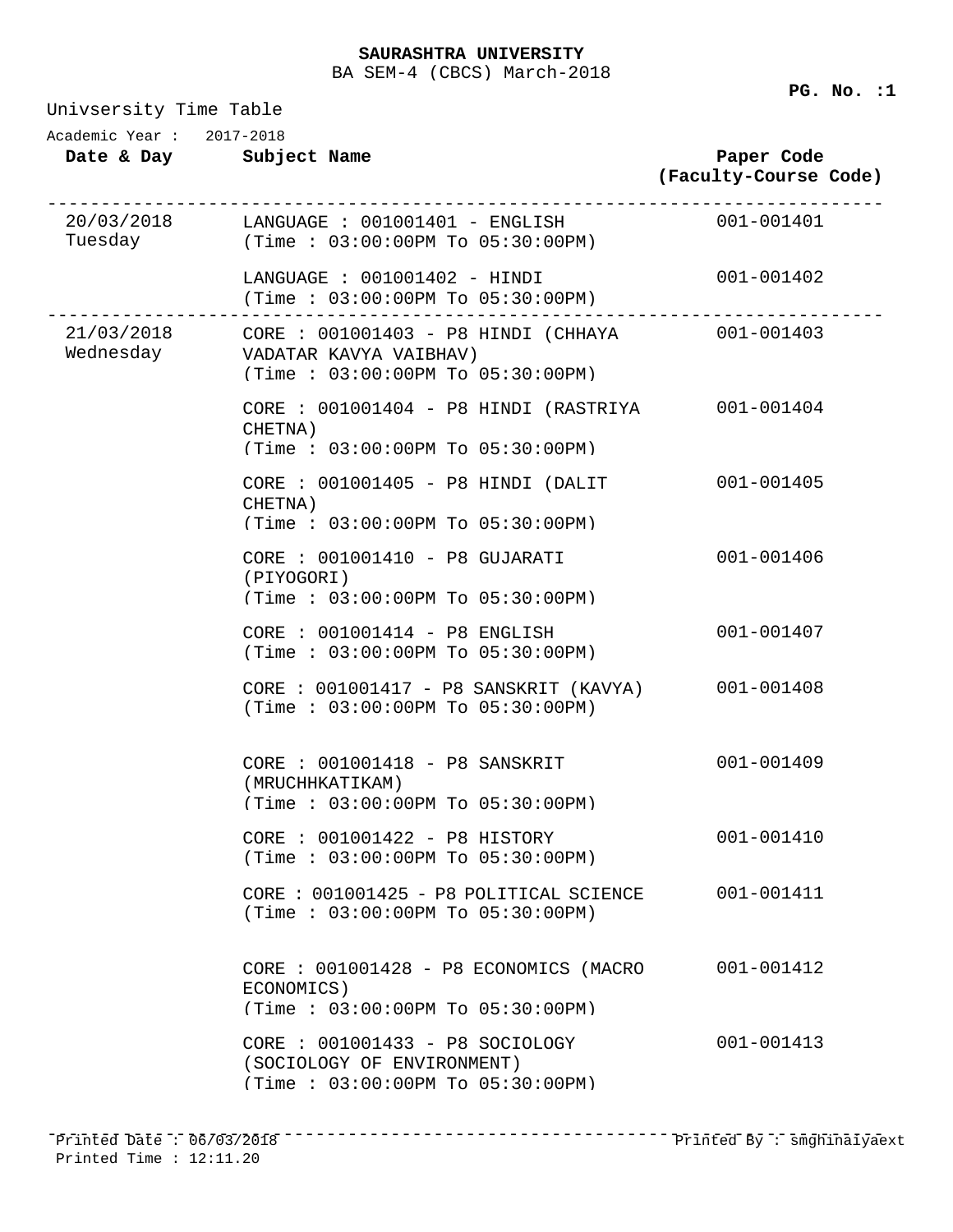Univsersity Time Table **Date & Day Subject Name Paper Code (Faculty-Course Code)** Academic Year : 2017-2018 20/03/2018 ------------------------------------------------------------------------------ Tuesday LANGUAGE : 001001401 - ENGLISH 001-001401 (Time : 03:00:00PM To 05:30:00PM) LANGUAGE : 001001402 - HINDI 001-001402 (Time : 03:00:00PM To 05:30:00PM) 21/03/2018 ------------------------------------------------------------------------------ Wednesday CORE : 001001403 - P8 HINDI (CHHAYA VADATAR KAVYA VAIBHAV) (Time : 03:00:00PM To 05:30:00PM) CORE : 001001404 - P8 HINDI (RASTRIYA 001-001404 CHETNA) (Time : 03:00:00PM To 05:30:00PM) CORE : 001001405 - P8 HINDI (DALIT 001-001405 CHETNA) (Time : 03:00:00PM To 05:30:00PM) CORE : 001001410 - P8 GUJARATI 001-001406 (PIYOGORI) (Time : 03:00:00PM To 05:30:00PM) CORE : 001001414 - P8 ENGLISH 001-001407 (Time : 03:00:00PM To 05:30:00PM) CORE : 001001417 - P8 SANSKRIT (KAVYA) 001-001408 (Time : 03:00:00PM To 05:30:00PM) CORE : 001001418 - P8 SANSKRIT 001-001409 (MRUCHHKATIKAM) (Time : 03:00:00PM To 05:30:00PM) CORE : 001001422 - P8 HISTORY 001-001410 (Time : 03:00:00PM To 05:30:00PM) CORE : 001001425 - P8 POLITICAL SCIENCE 001-001411 (Time : 03:00:00PM To 05:30:00PM) CORE : 001001428 - P8 ECONOMICS (MACRO 001-001412 ECONOMICS) (Time : 03:00:00PM To 05:30:00PM) CORE : 001001433 - P8 SOCIOLOGY 001-001413 (SOCIOLOGY OF ENVIRONMENT) (Time : 03:00:00PM To 05:30:00PM)

------------------------------------------------------------------------------ Printed Date : 06/03/2018 Printed By : smghinaiyaextPrinted Time : 12:11.20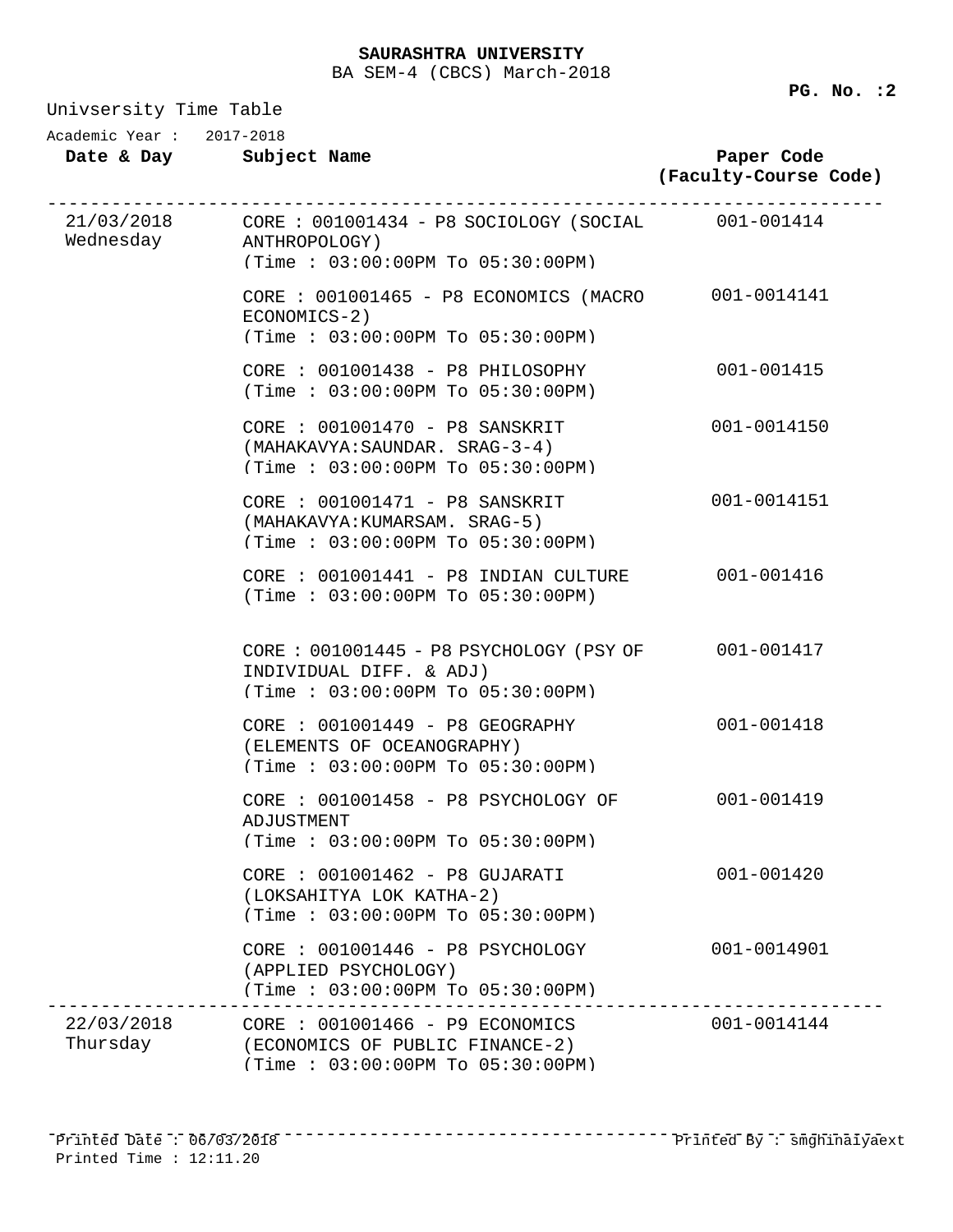**Date & Day Subject Name Paper Code (Faculty-Course Code)** Academic Year : 2017-2018 21/03/2018 ------------------------------------------------------------------------------ CORE : 001001434 - P8 SOCIOLOGY (SOCIAL 001-001414 Wednesday ANTHROPOLOGY) (Time : 03:00:00PM To 05:30:00PM) CORE : 001001465 - P8 ECONOMICS (MACRO 001-0014141 ECONOMICS-2) (Time : 03:00:00PM To 05:30:00PM) CORE : 001001438 - P8 PHILOSOPHY 001-001415 (Time : 03:00:00PM To 05:30:00PM) CORE : 001001470 - P8 SANSKRIT 001-0014150 (MAHAKAVYA:SAUNDAR. SRAG-3-4) (Time : 03:00:00PM To 05:30:00PM) CORE : 001001471 - P8 SANSKRIT 001-0014151 (MAHAKAVYA:KUMARSAM. SRAG-5) (Time : 03:00:00PM To 05:30:00PM) CORE : 001001441 - P8 INDIAN CULTURE 001-001416 (Time : 03:00:00PM To 05:30:00PM) CORE : 001001445 - P8 PSYCHOLOGY (PSY OF 001-001417 INDIVIDUAL DIFF. & ADJ) (Time : 03:00:00PM To 05:30:00PM) CORE : 001001449 - P8 GEOGRAPHY 001-001418 (ELEMENTS OF OCEANOGRAPHY) (Time : 03:00:00PM To 05:30:00PM) CORE : 001001458 - P8 PSYCHOLOGY OF 001-001419 ADJUSTMENT (Time : 03:00:00PM To 05:30:00PM) CORE : 001001462 - P8 GUJARATI 001-001420 (LOKSAHITYA LOK KATHA-2) (Time : 03:00:00PM To 05:30:00PM) CORE : 001001446 - P8 PSYCHOLOGY 001-0014901 (APPLIED PSYCHOLOGY) (Time : 03:00:00PM To 05:30:00PM) 22/03/2018 ------------------------------------------------------------------------------ CORE : 001001466 - P9 ECONOMICS 001-0014144 Thursday (ECONOMICS OF PUBLIC FINANCE-2) (Time : 03:00:00PM To 05:30:00PM)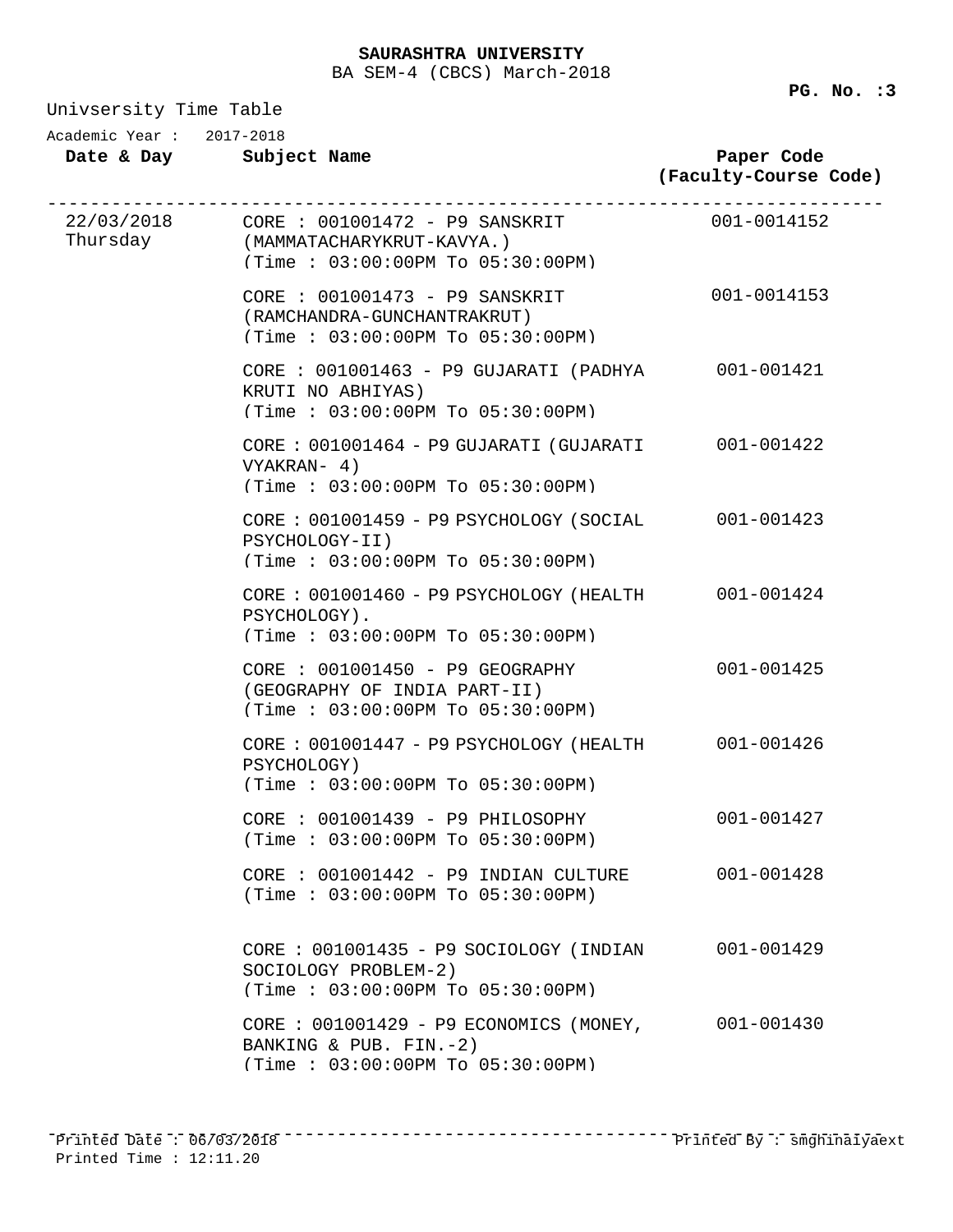Univsersity Time Tahl

| Academic Year: 2017-2018 | Date & Day Subject Name                                                                                                                                               | Paper Code<br>(Faculty-Course Code) |
|--------------------------|-----------------------------------------------------------------------------------------------------------------------------------------------------------------------|-------------------------------------|
|                          | ----------------------------------<br>22/03/2018 CORE : 001001472 - P9 SANSKRIT 001-0014152<br>Thursday (MAMMATACHARYKRUT-KAVYA.)<br>(Time: 03:00:00PM To 05:30:00PM) |                                     |
|                          | CORE : 001001473 - P9 SANSKRIT<br>(RAMCHANDRA-GUNCHANTRAKRUT)<br>(Time: 03:00:00PM To 05:30:00PM)                                                                     | 001-0014153                         |
|                          | CORE : 001001463 - P9 GUJARATI (PADHYA<br>KRUTI NO ABHIYAS)<br>(Time: 03:00:00PM To 05:30:00PM)                                                                       | 001-001421                          |
|                          | CORE: 001001464 - P9 GUJARATI (GUJARATI 001-001422<br>VYAKRAN- 4)<br>(Time: 03:00:00PM To 05:30:00PM)                                                                 |                                     |
|                          | CORE: 001001459 - P9 PSYCHOLOGY (SOCIAL<br>PSYCHOLOGY-II)<br>(Time: 03:00:00PM To 05:30:00PM)                                                                         | 001-001423                          |
|                          | CORE: 001001460 - P9 PSYCHOLOGY (HEALTH<br>PSYCHOLOGY).<br>(Time: 03:00:00PM To 05:30:00PM)                                                                           | 001-001424                          |
|                          | CORE : 001001450 - P9 GEOGRAPHY<br>(GEOGRAPHY OF INDIA PART-II)<br>(Time: 03:00:00PM To 05:30:00PM)                                                                   | 001-001425                          |
|                          | CORE : 001001447 - P9 PSYCHOLOGY (HEALTH 001-001426<br>PSYCHOLOGY)<br>(Time: 03:00:00PM To 05:30:00PM)                                                                |                                     |
|                          | $CORE : 001001439 - P9 PHILOSOPHY$<br>(Time : 03:00:00PM T0 05:30:00PM)                                                                                               | 001-001427                          |
|                          | CORE : 001001442 - P9 INDIAN CULTURE<br>(Time : 03:00:00PM TO 05:30:00PM)                                                                                             | $001 - 001428$                      |
|                          | CORE : 001001435 - P9 SOCIOLOGY (INDIAN<br>SOCIOLOGY PROBLEM-2)<br>(Time: 03:00:00PM To 05:30:00PM)                                                                   | 001-001429                          |
|                          | CORE : $001001429 - P9$ ECONOMICS (MONEY,<br>BANKING & PUB. FIN.-2)<br>(Time: 03:00:00PM To 05:30:00PM)                                                               | 001-001430                          |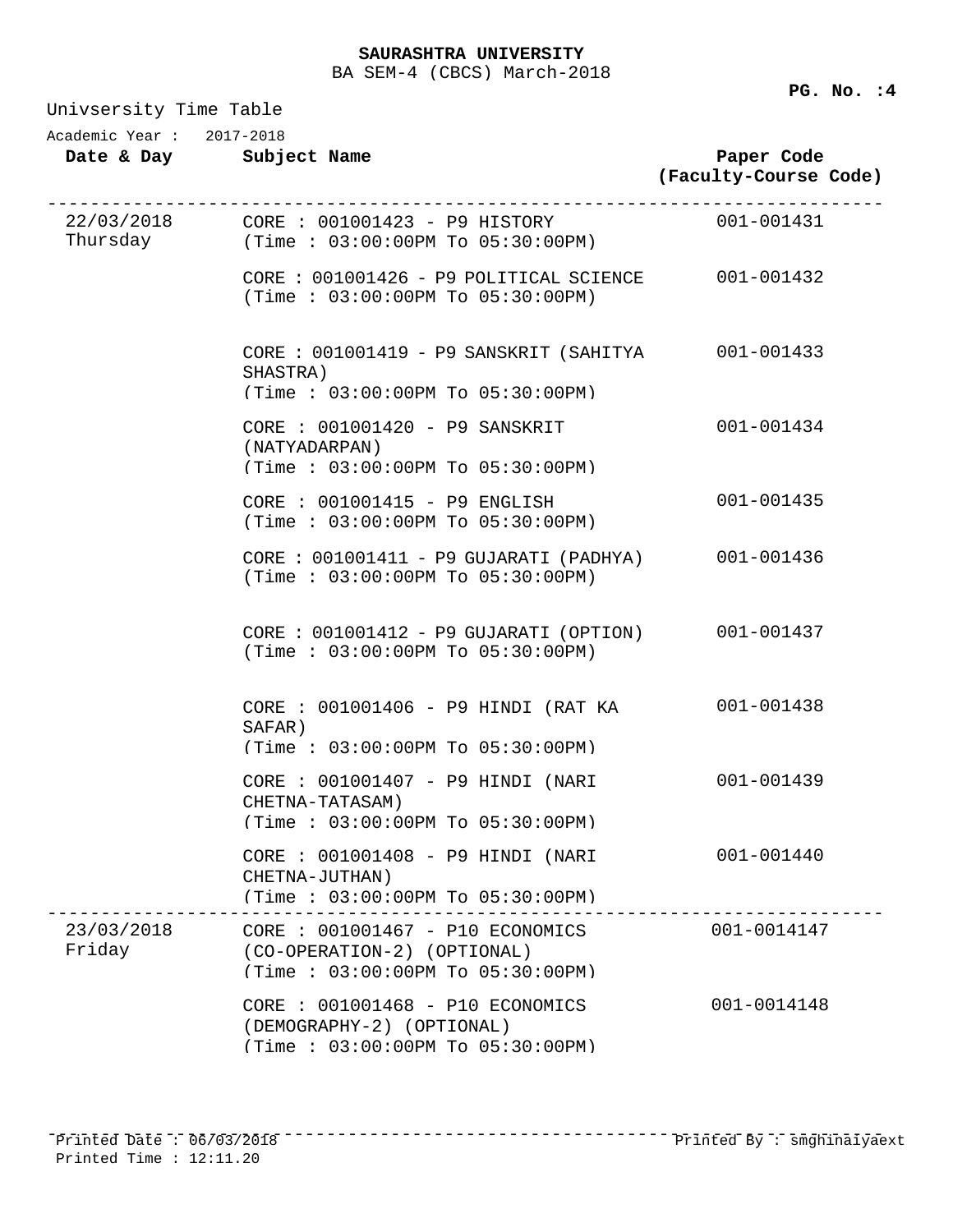| Univsersity Time Table   |                                                                                                     |                                     |  |
|--------------------------|-----------------------------------------------------------------------------------------------------|-------------------------------------|--|
| Academic Year: 2017-2018 | Date & Day Subject Name                                                                             | Paper Code<br>(Faculty-Course Code) |  |
|                          | Thursday $(Time: 03:00:00PM To 05:30:00PM)$                                                         |                                     |  |
|                          | CORE : 001001426 - P9 POLITICAL SCIENCE 001-001432<br>(Time : 03:00:00PM To 05:30:00PM)             |                                     |  |
|                          | CORE : 001001419 - P9 SANSKRIT (SAHITYA 001-001433<br>SHASTRA)<br>(Time: 03:00:00PM To 05:30:00PM)  |                                     |  |
|                          | CORE : 001001420 - P9 SANSKRIT<br>(NATYADARPAN)<br>(Time: 03:00:00PM To 05:30:00PM)                 | 001-001434                          |  |
|                          | CORE : 001001415 - P9 ENGLISH<br>(Time : 03:00:00PM T0 05:30:00PM)                                  | 001-001435                          |  |
|                          | CORE : 001001411 - P9 GUJARATI (PADHYA) 001-001436<br>(Time : 03:00:00PM To 05:30:00PM)             |                                     |  |
|                          | CORE: 001001412 - P9 GUJARATI (OPTION)<br>(Time : 03:00:00PM To 05:30:00PM)                         | 001-001437                          |  |
|                          | CORE : 001001406 - P9 HINDI (RAT KA<br>SAFAR)<br>(Time: 03:00:00PM To 05:30:00PM)                   | 001-001438                          |  |
|                          | CORE : 001001407 - P9 HINDI (NARI<br>CHETNA-TATASAM)<br>(Time: 03:00:00PM To 05:30:00PM)            | 001-001439                          |  |
|                          | CORE : 001001408 - P9 HINDI (NARI<br>CHETNA-JUTHAN)<br>$(Time : 03:00:00PM$ To $05:30:00PM$         | 001-001440                          |  |
| 23/03/2018<br>Friday     | CORE : 001001467 - P10 ECONOMICS<br>(CO-OPERATION-2) (OPTIONAL)<br>(Time: 03:00:00PM To 05:30:00PM) | $001 - 0014147$                     |  |
|                          | CORE : 001001468 - P10 ECONOMICS<br>(DEMOGRAPHY-2) (OPTIONAL)<br>(Time: 03:00:00PM To 05:30:00PM)   | 001-0014148                         |  |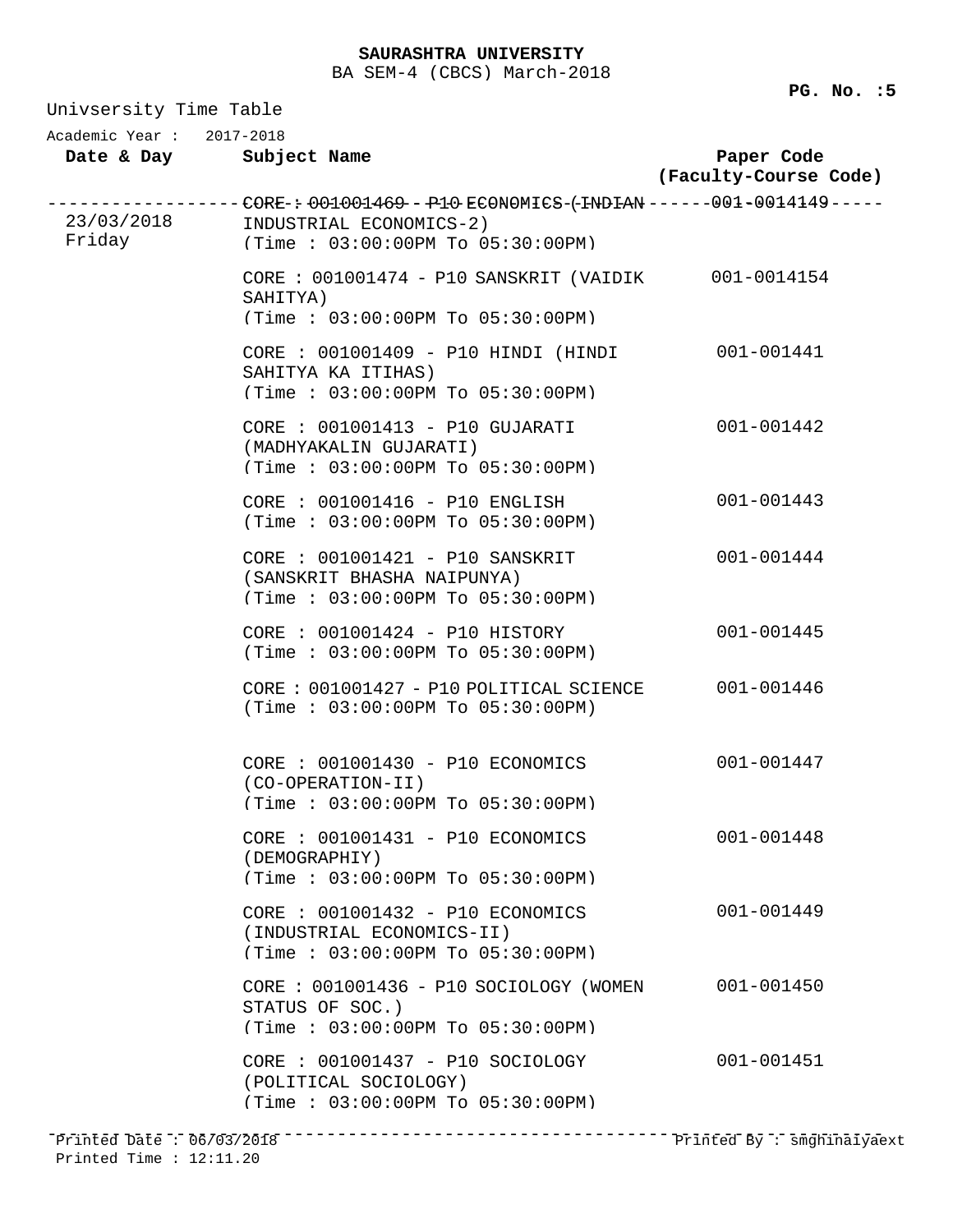Univsersity Time Table **Date & Day Subject Name Paper Code (Faculty-Course Code)** Academic Year : 2017-2018 ------------------CORE-: 001001469 - P10 ECONOMICS-(-INDIAN ------001-0014149-----<br>23/03/2018 INDUSTRIAL ECONOMICS-2) Friday INDUSTRIAL ECONOMICS-2) (Time : 03:00:00PM To 05:30:00PM) CORE : 001001474 - P10 SANSKRIT (VAIDIK 001-0014154 SAHITYA) (Time : 03:00:00PM To 05:30:00PM) CORE : 001001409 - P10 HINDI (HINDI 001-001441 SAHITYA KA ITIHAS) (Time : 03:00:00PM To 05:30:00PM) CORE : 001001413 - P10 GUJARATI 001-001442 (MADHYAKALIN GUJARATI) (Time : 03:00:00PM To 05:30:00PM) CORE : 001001416 - P10 ENGLISH 001-001443 (Time : 03:00:00PM To 05:30:00PM) CORE : 001001421 - P10 SANSKRIT 001-001444 (SANSKRIT BHASHA NAIPUNYA) (Time : 03:00:00PM To 05:30:00PM) CORE : 001001424 - P10 HISTORY 001-001445 (Time : 03:00:00PM To 05:30:00PM) CORE : 001001427 - P10 POLITICAL SCIENCE 001-001446 (Time : 03:00:00PM To 05:30:00PM) CORE : 001001430 - P10 ECONOMICS 001-001447 (CO-OPERATION-II) (Time : 03:00:00PM To 05:30:00PM) CORE : 001001431 - P10 ECONOMICS 001-001448 (DEMOGRAPHIY) (Time : 03:00:00PM To 05:30:00PM) CORE : 001001432 - P10 ECONOMICS 001-001449 (INDUSTRIAL ECONOMICS-II) (Time : 03:00:00PM To 05:30:00PM) CORE : 001001436 - P10 SOCIOLOGY (WOMEN 001-001450 STATUS OF SOC.) (Time : 03:00:00PM To 05:30:00PM) CORE : 001001437 - P10 SOCIOLOGY 001-001451 (POLITICAL SOCIOLOGY) (Time : 03:00:00PM To 05:30:00PM) ------------------------------------------------------------------------------ Printed Date : 06/03/2018 Printed By : smghinaiyaext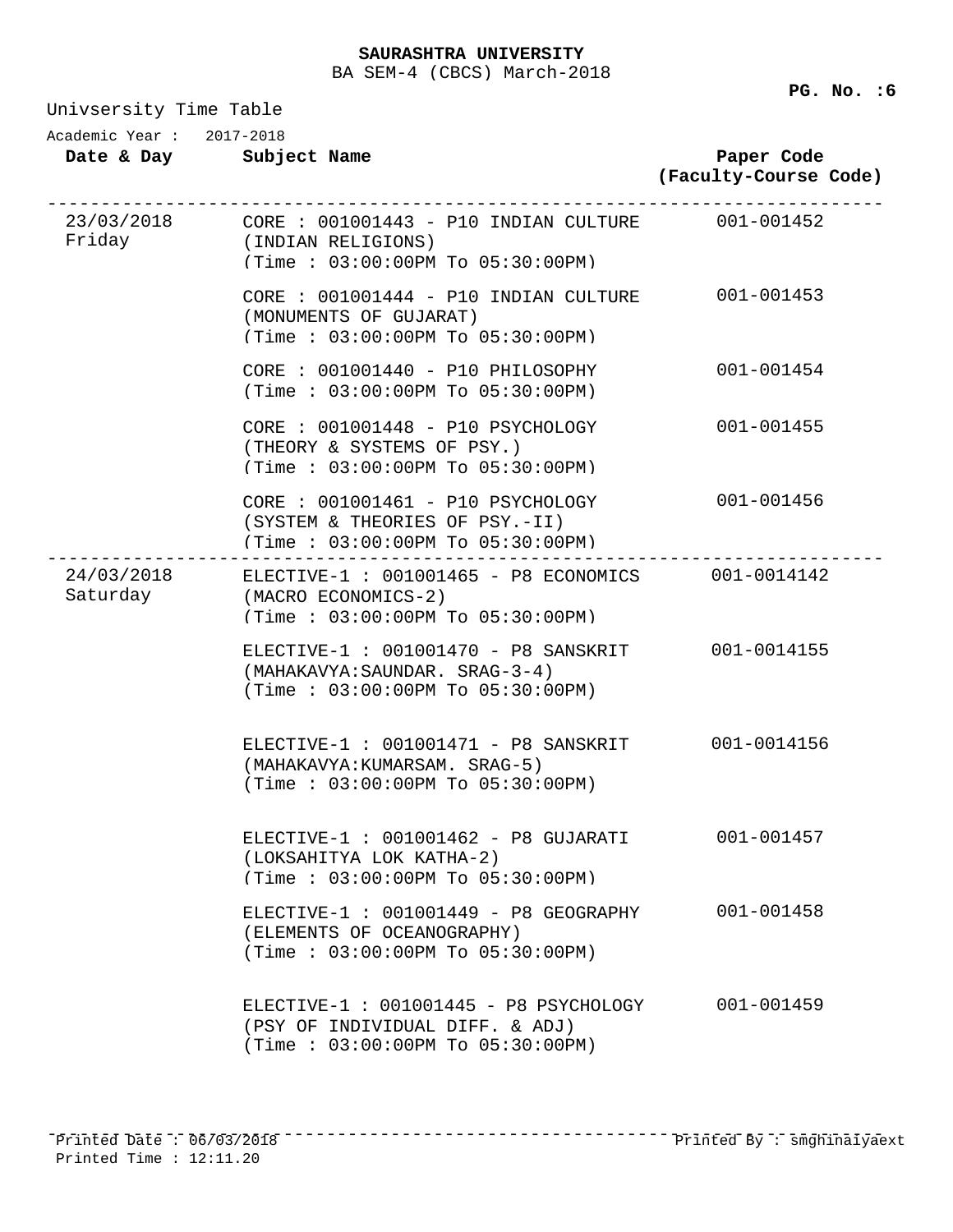Univsersity Time Table

| Academic Year: 2017-2018 | Date & Day Subject Name                                                                                                      | Paper Code<br>(Faculty-Course Code) |
|--------------------------|------------------------------------------------------------------------------------------------------------------------------|-------------------------------------|
|                          | 23/03/2018 CORE : 001001443 - P10 INDIAN CULTURE 001-001452<br>Friday (INDIAN RELIGIONS)<br>(Time: 03:00:00PM To 05:30:00PM) |                                     |
|                          | CORE : 001001444 - P10 INDIAN CULTURE 001-001453<br>(MONUMENTS OF GUJARAT)<br>(Time: 03:00:00PM To 05:30:00PM)               |                                     |
|                          | $CORE : 001001440 - P10 PHILOSOPHY$<br>(Time : 03:00:00PM T0 05:30:00PM)                                                     | 001-001454                          |
|                          | $CORE : 001001448 - P10 PSYCHOLOGY$<br>(THEORY & SYSTEMS OF PSY.)<br>(Time: 03:00:00PM To 05:30:00PM)                        | 001-001455                          |
|                          | CORE : 001001461 - P10 PSYCHOLOGY<br>(SYSTEM & THEORIES OF PSY.-II)<br>(Time: 03:00:00PM To 05:30:00PM)                      | 001-001456                          |
| Saturday                 | 24/03/2018 ELECTIVE-1 : 001001465 - P8 ECONOMICS 001-0014142<br>(MACRO ECONOMICS-2)<br>(Time: 03:00:00PM To 05:30:00PM)      |                                     |
|                          | ELECTIVE-1 : 001001470 - P8 SANSKRIT 001-0014155<br>(MAHAKAVYA: SAUNDAR. SRAG-3-4)<br>(Time : 03:00:00PM TO 05:30:00PM)      |                                     |
|                          | ELECTIVE-1 : 001001471 - P8 SANSKRIT 001-0014156<br>(MAHAKAVYA: KUMARSAM. SRAG-5)<br>(Time: 03:00:00PM To 05:30:00PM)        |                                     |
|                          | ELECTIVE-1 : 001001462 - P8 GUJARATI<br>(LOKSAHITYA LOK KATHA-2)<br>(Time: 03:00:00PM To 05:30:00PM)                         | 001-001457                          |
|                          | ELECTIVE-1 : 001001449 - P8 GEOGRAPHY<br>(ELEMENTS OF OCEANOGRAPHY)<br>(Time : 03:00:00PM TO 05:30:00PM)                     | $001 - 001458$                      |
|                          | ELECTIVE-1 : 001001445 - P8 PSYCHOLOGY<br>(PSY OF INDIVIDUAL DIFF. & ADJ)<br>(Time: 03:00:00PM To 05:30:00PM)                | 001-001459                          |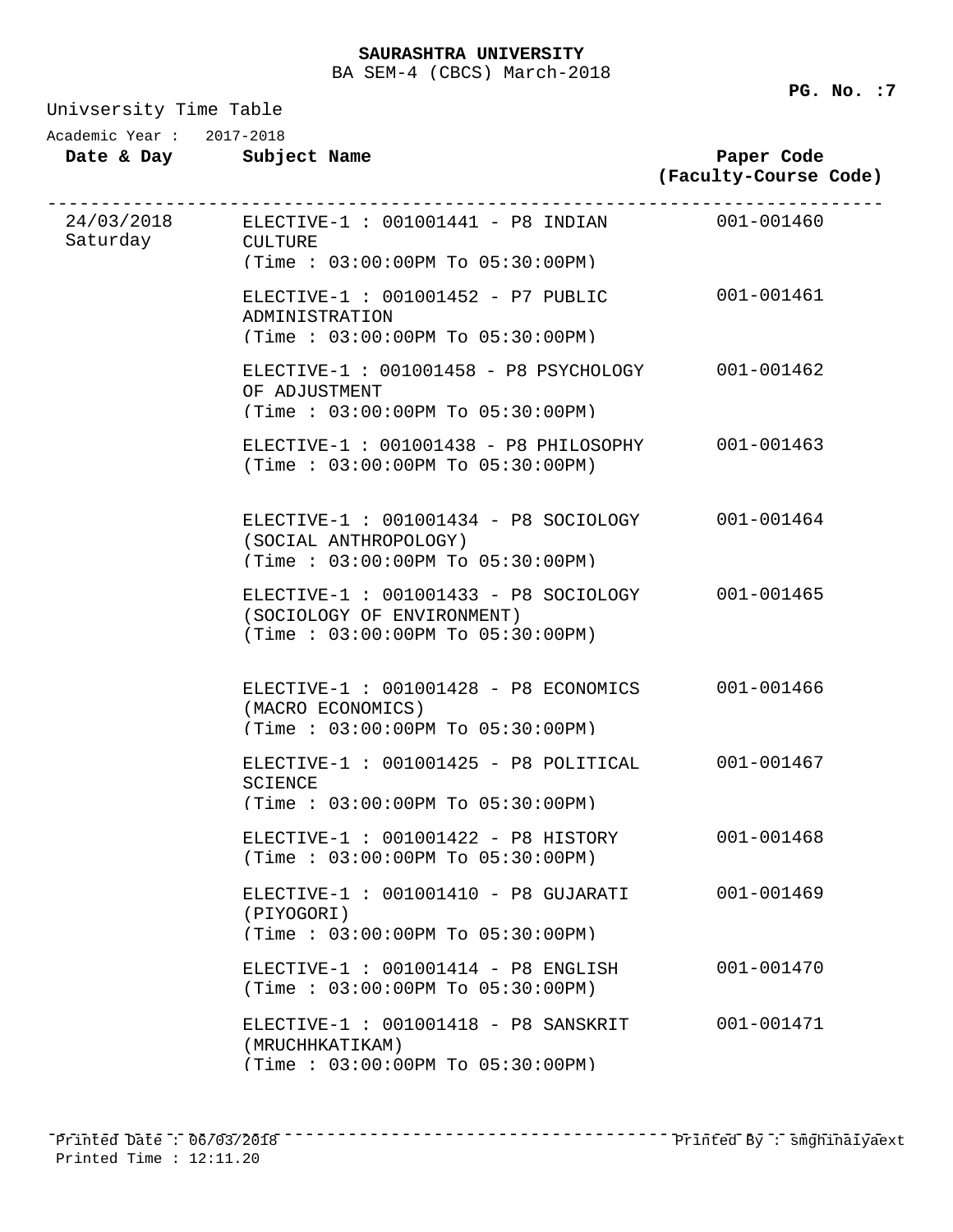Univsersity Time Table

Academic Year : 2017-2018

| Date & Day |  |  | Subject Name |  |
|------------|--|--|--------------|--|
|------------|--|--|--------------|--|

## **Paper Code (Faculty-Course Code)**

| Saturday CULTURE | 24/03/2018 ELECTIVE-1 : 001001441 - P8 INDIAN 001-001460<br>$(Time : 03:00:00PM$ To $05:30:00PM$        |                |  |
|------------------|---------------------------------------------------------------------------------------------------------|----------------|--|
|                  | $ELECTIVE-1 : 001001452 - P7 PUBLIC$<br>ADMINISTRATION<br>(Time: 03:00:00PM To 05:30:00PM)              | 001-001461     |  |
|                  | ELECTIVE-1: 001001458 - P8 PSYCHOLOGY<br>OF ADJUSTMENT<br>(Time: 03:00:00PM To 05:30:00PM)              | 001-001462     |  |
|                  | ELECTIVE-1: 001001438 - P8 PHILOSOPHY<br>(Time: 03:00:00PM To 05:30:00PM)                               | 001-001463     |  |
|                  | ELECTIVE-1 : 001001434 - P8 SOCIOLOGY<br>(SOCIAL ANTHROPOLOGY)<br>(Time: 03:00:00PM To 05:30:00PM)      | 001-001464     |  |
|                  | ELECTIVE-1 : 001001433 - P8 SOCIOLOGY<br>(SOCIOLOGY OF ENVIRONMENT)<br>(Time: 03:00:00PM To 05:30:00PM) | 001-001465     |  |
|                  | ELECTIVE-1 : 001001428 - P8 ECONOMICS<br>(MACRO ECONOMICS)<br>(Time : 03:00:00PM T0 05:30:00PM)         | 001-001466     |  |
|                  | ELECTIVE-1: 001001425 - P8 POLITICAL<br><b>SCIENCE</b><br>(Time: 03:00:00PM To 05:30:00PM)              | 001-001467     |  |
|                  | $ELECTIVE-1: 001001422 - P8 HISTORY$<br>(Time: 03:00:00PM To 05:30:00PM)                                | 001-001468     |  |
|                  | ELECTIVE-1 : 001001410 - P8 GUJARATI<br>(PIYOGORI)<br>(Time : 03:00:00PM TO 05:30:00PM)                 | $001 - 001469$ |  |
|                  | ELECTIVE-1 : 001001414 - P8 ENGLISH<br>(Time: 03:00:00PM To 05:30:00PM)                                 | $001 - 001470$ |  |
|                  | ELECTIVE-1 : 001001418 - P8 SANSKRIT<br>(MRUCHHKATIKAM)<br>(Time: 03:00:00PM To 05:30:00PM)             | 001-001471     |  |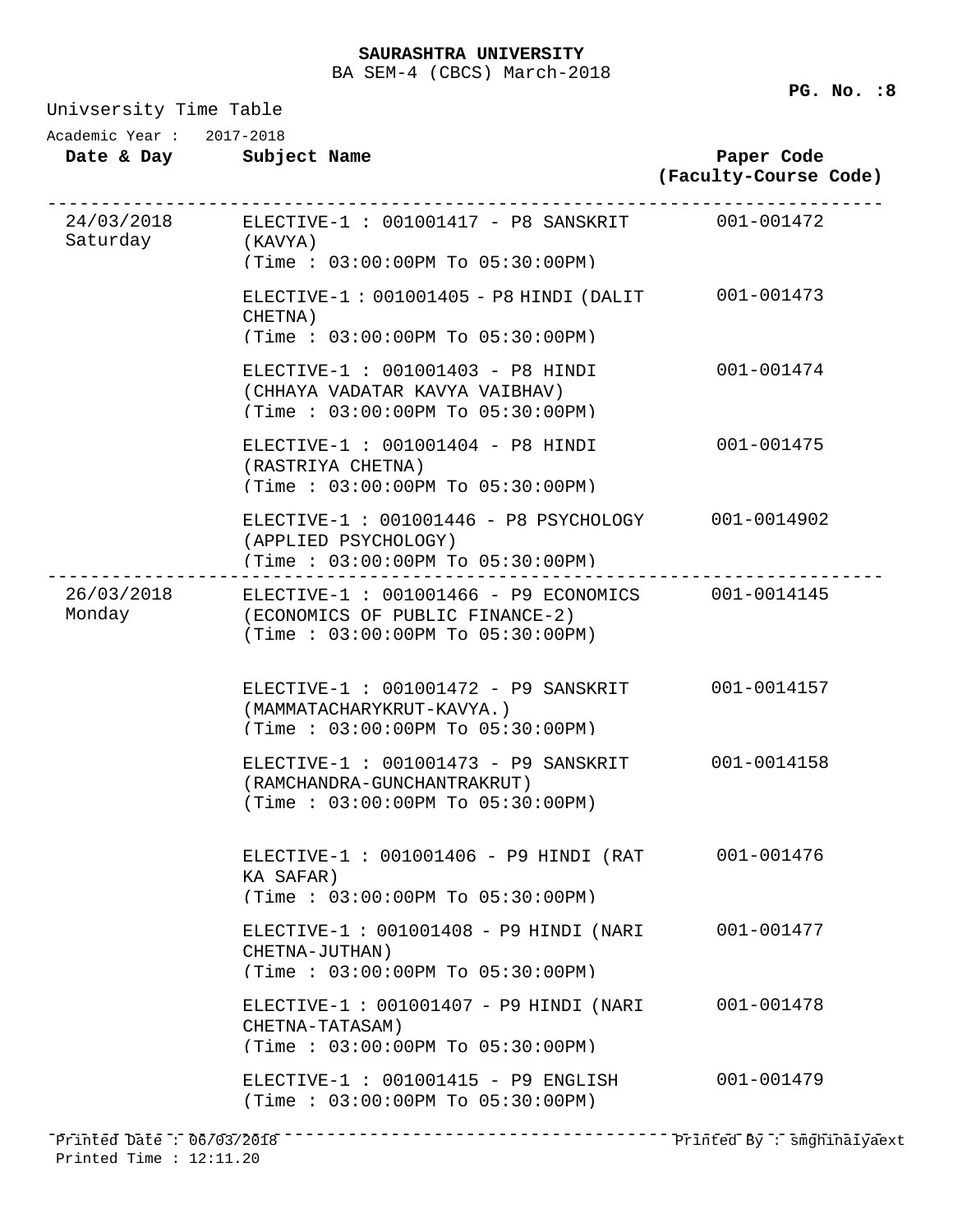Univsersity Time Table

**Date & Day Subject Name Paper Code (Faculty-Course Code)** Academic Year : 2017-2018 24/03/2018 ------------------------------------------------------------------------------ ELECTIVE-1 : 001001417 - P8 SANSKRIT 001-001472 Saturday (KAVYA) (Time : 03:00:00PM To 05:30:00PM) ELECTIVE-1 : 001001405 - P8 HINDI (DALIT 001-001473 CHETNA) (Time : 03:00:00PM To 05:30:00PM) ELECTIVE-1 : 001001403 - P8 HINDI 001-001474 (CHHAYA VADATAR KAVYA VAIBHAV) (Time : 03:00:00PM To 05:30:00PM) ELECTIVE-1 : 001001404 - P8 HINDI 001-001475 (RASTRIYA CHETNA) (Time : 03:00:00PM To 05:30:00PM) ELECTIVE-1 : 001001446 - P8 PSYCHOLOGY 001-0014902 (APPLIED PSYCHOLOGY) (Time : 03:00:00PM To 05:30:00PM) 26/03/2018 ------------------------------------------------------------------------------ ELECTIVE-1 : 001001466 - P9 ECONOMICS 001-0014145 (ECONOMICS OF PUBLIC FINANCE-2) (Time : 03:00:00PM To 05:30:00PM) ELECTIVE-1 : 001001472 - P9 SANSKRIT 001-0014157 (MAMMATACHARYKRUT-KAVYA.) (Time : 03:00:00PM To 05:30:00PM) ELECTIVE-1 : 001001473 - P9 SANSKRIT 001-0014158 (RAMCHANDRA-GUNCHANTRAKRUT) (Time : 03:00:00PM To 05:30:00PM) ELECTIVE-1 : 001001406 - P9 HINDI (RAT 001-001476 KA SAFAR) (Time : 03:00:00PM To 05:30:00PM) ELECTIVE-1 : 001001408 - P9 HINDI (NARI 001-001477 CHETNA-JUTHAN) (Time : 03:00:00PM To 05:30:00PM)

> ELECTIVE-1 : 001001407 - P9 HINDI (NARI 001-001478 CHETNA-TATASAM) (Time : 03:00:00PM To 05:30:00PM)

> ELECTIVE-1 : 001001415 - P9 ENGLISH 001-001479 (Time : 03:00:00PM To 05:30:00PM)

------------------------------------------------------------------------------ Printed Date : 06/03/2018 Printed By : smghinaiyaextPrinted Time : 12:11.20

**PG. No. :8** 

Monday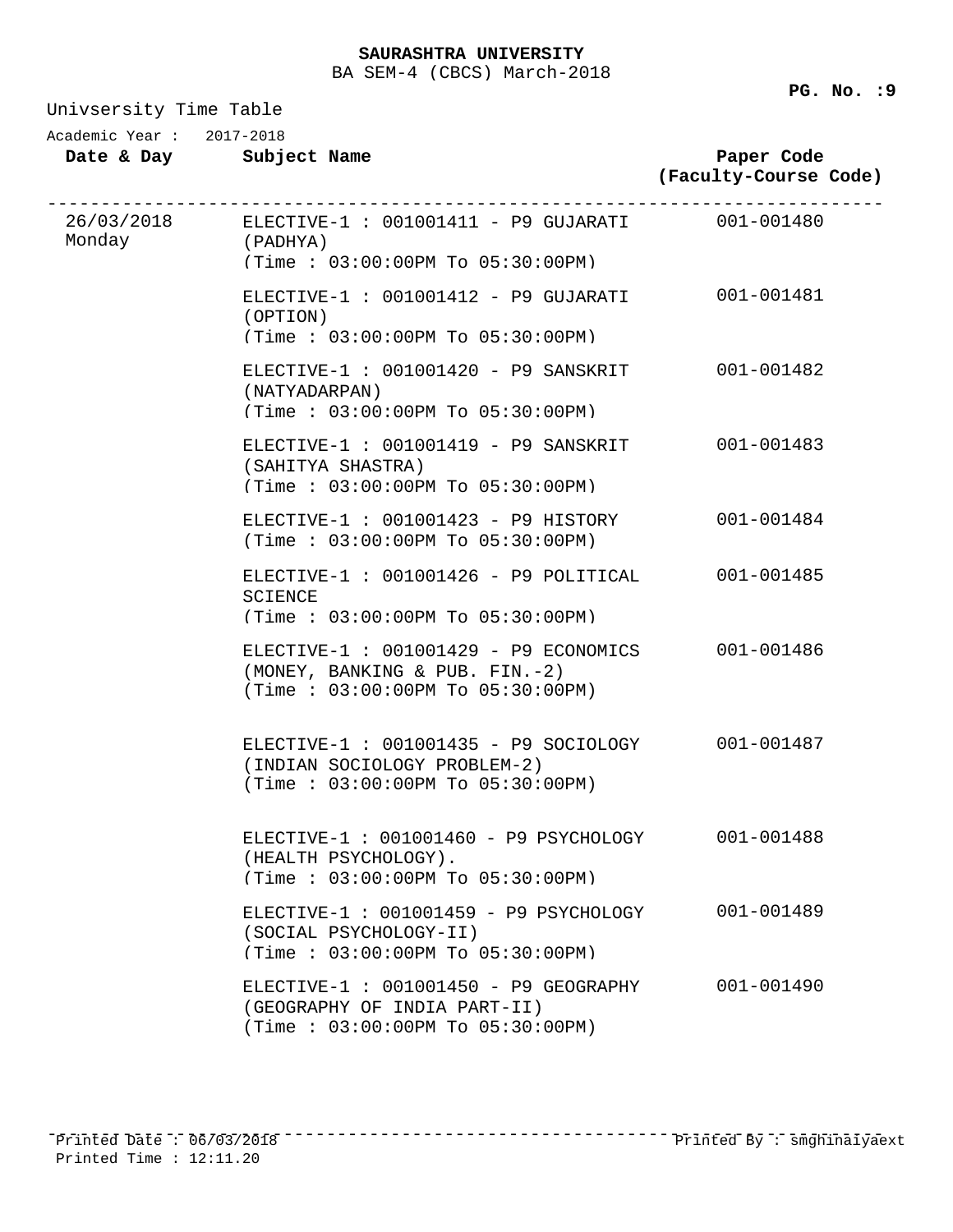Univsersity Time Table

Academic Year : 2017-2018

**Date & Day Subject Name**

**Paper Code (Faculty-Course Code)**

| Monday | 26/03/2018 ELECTIVE-1: 001001411 - P9 GUJARATI 001-001480<br>(PADHYA)<br>(Time: 03:00:00PM To 05:30:00PM)              |            |
|--------|------------------------------------------------------------------------------------------------------------------------|------------|
|        |                                                                                                                        |            |
|        | ELECTIVE-1 : 001001412 - P9 GUJARATI 001-001481<br>(OPTION)                                                            |            |
|        | (Time: 03:00:00PM To 05:30:00PM)                                                                                       |            |
|        | ELECTIVE-1: 001001420 - P9 SANSKRIT<br>(NATYADARPAN)<br>(Time: 03:00:00PM To 05:30:00PM)                               | 001-001482 |
|        |                                                                                                                        |            |
|        | ELECTIVE-1: 001001419 - P9 SANSKRIT<br>(SAHITYA SHASTRA)<br>(Time: 03:00:00PM To 05:30:00PM)                           | 001-001483 |
|        |                                                                                                                        |            |
|        | ELECTIVE-1: 001001423 - P9 HISTORY<br>(Time : 03:00:00PM TO 05:30:00PM)                                                | 001-001484 |
|        | ELECTIVE-1 : 001001426 - P9 POLITICAL<br><b>SCIENCE</b>                                                                | 001-001485 |
|        | (Time: 03:00:00PM To 05:30:00PM)                                                                                       |            |
|        | ELECTIVE-1 : 001001429 - P9 ECONOMICS 001-001486<br>(MONEY, BANKING & PUB. FIN.-2)<br>(Time: 03:00:00PM To 05:30:00PM) |            |
|        |                                                                                                                        |            |
|        | ELECTIVE-1 : 001001435 - P9 SOCIOLOGY 001-001487<br>(INDIAN SOCIOLOGY PROBLEM-2)<br>(Time : 03:00:00PM TO 05:30:00PM)  |            |
|        |                                                                                                                        |            |
|        | ELECTIVE-1: 001001460 - P9 PSYCHOLOGY<br>(HEALTH PSYCHOLOGY).<br>(Time: 03:00:00PM To 05:30:00PM)                      | 001-001488 |
|        | ELECTIVE-1 : 001001459 - P9 PSYCHOLOGY                                                                                 | 001-001489 |
|        | (SOCIAL PSYCHOLOGY-II)<br>(Time: 03:00:00PM To 05:30:00PM)                                                             |            |
|        | ELECTIVE-1 : 001001450 - P9 GEOGRAPHY<br>(GEOGRAPHY OF INDIA PART-II)<br>(Time: 03:00:00PM To 05:30:00PM)              | 001-001490 |
|        |                                                                                                                        |            |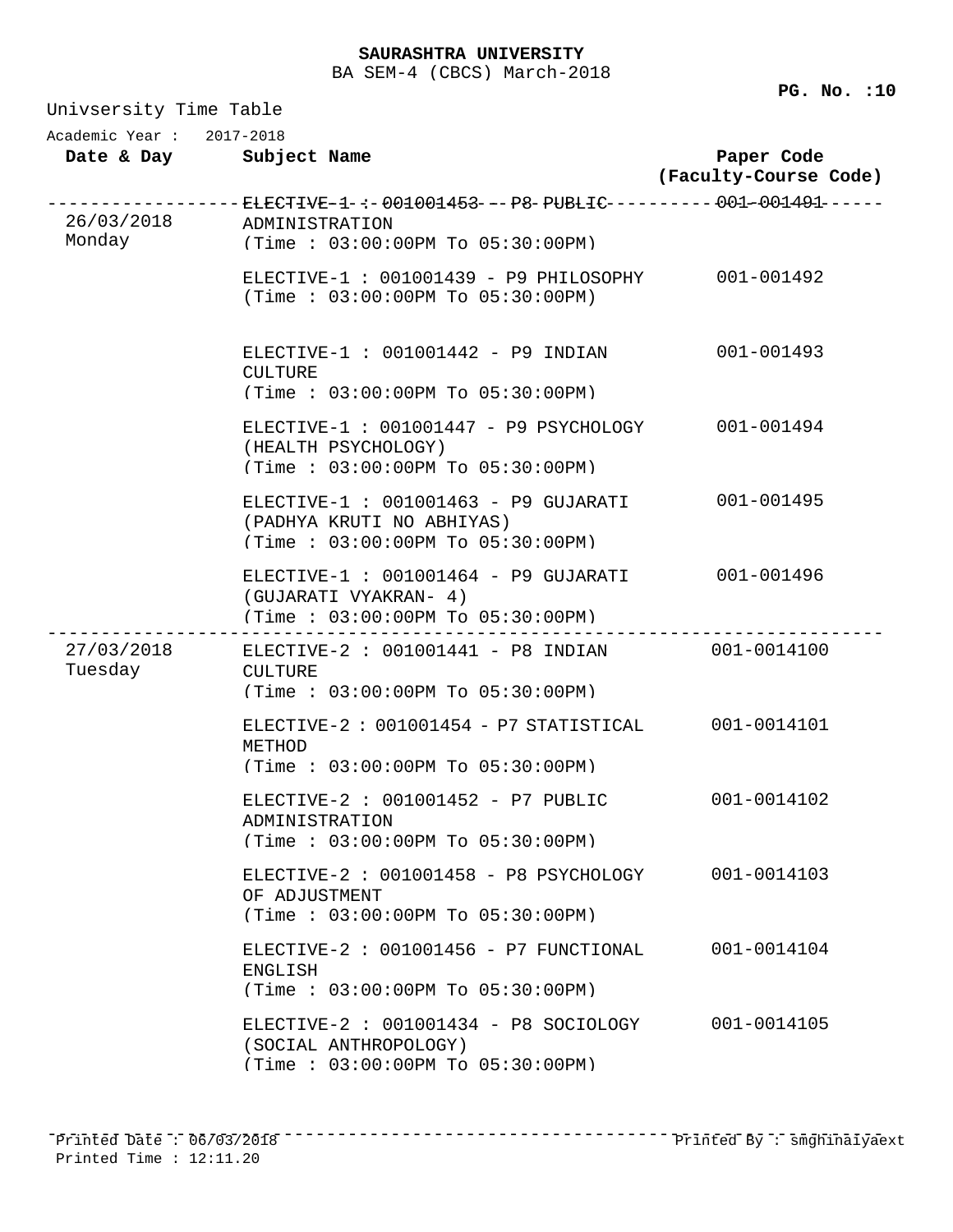Univsersity Time Table **Date & Day Subject Name Paper Code (Faculty-Course Code)** Academic Year : 2017-2018 26/03/2018 ------------------------------------------------------------------------------ ELECTIVE-1 : 001001453 - P8 PUBLIC 001-001491 Monday ADMINISTRATION (Time : 03:00:00PM To 05:30:00PM) ELECTIVE-1 : 001001439 - P9 PHILOSOPHY 001-001492 (Time : 03:00:00PM To 05:30:00PM) ELECTIVE-1 : 001001442 - P9 INDIAN 001-001493 CULTURE (Time : 03:00:00PM To 05:30:00PM) ELECTIVE-1 : 001001447 - P9 PSYCHOLOGY 001-001494 (HEALTH PSYCHOLOGY) (Time : 03:00:00PM To 05:30:00PM) ELECTIVE-1 : 001001463 - P9 GUJARATI 001-001495 (PADHYA KRUTI NO ABHIYAS) (Time : 03:00:00PM To 05:30:00PM) ELECTIVE-1 : 001001464 - P9 GUJARATI 001-001496 (GUJARATI VYAKRAN- 4) (Time : 03:00:00PM To 05:30:00PM) 27/03/2018 ------------------------------------------------------------------------------ ELECTIVE-2 : 001001441 - P8 INDIAN 001-0014100 Tuesday CULTURE (Time : 03:00:00PM To 05:30:00PM) ELECTIVE-2 : 001001454 - P7 STATISTICAL 001-0014101 METHOD (Time : 03:00:00PM To 05:30:00PM) ELECTIVE-2 : 001001452 - P7 PUBLIC 001-0014102 ADMINISTRATION (Time : 03:00:00PM To 05:30:00PM) ELECTIVE-2 : 001001458 - P8 PSYCHOLOGY 001-0014103 OF ADJUSTMENT (Time : 03:00:00PM To 05:30:00PM) ELECTIVE-2 : 001001456 - P7 FUNCTIONAL 001-0014104 ENGLISH (Time : 03:00:00PM To 05:30:00PM) ELECTIVE-2 : 001001434 - P8 SOCIOLOGY 001-0014105 (SOCIAL ANTHROPOLOGY) (Time : 03:00:00PM To 05:30:00PM)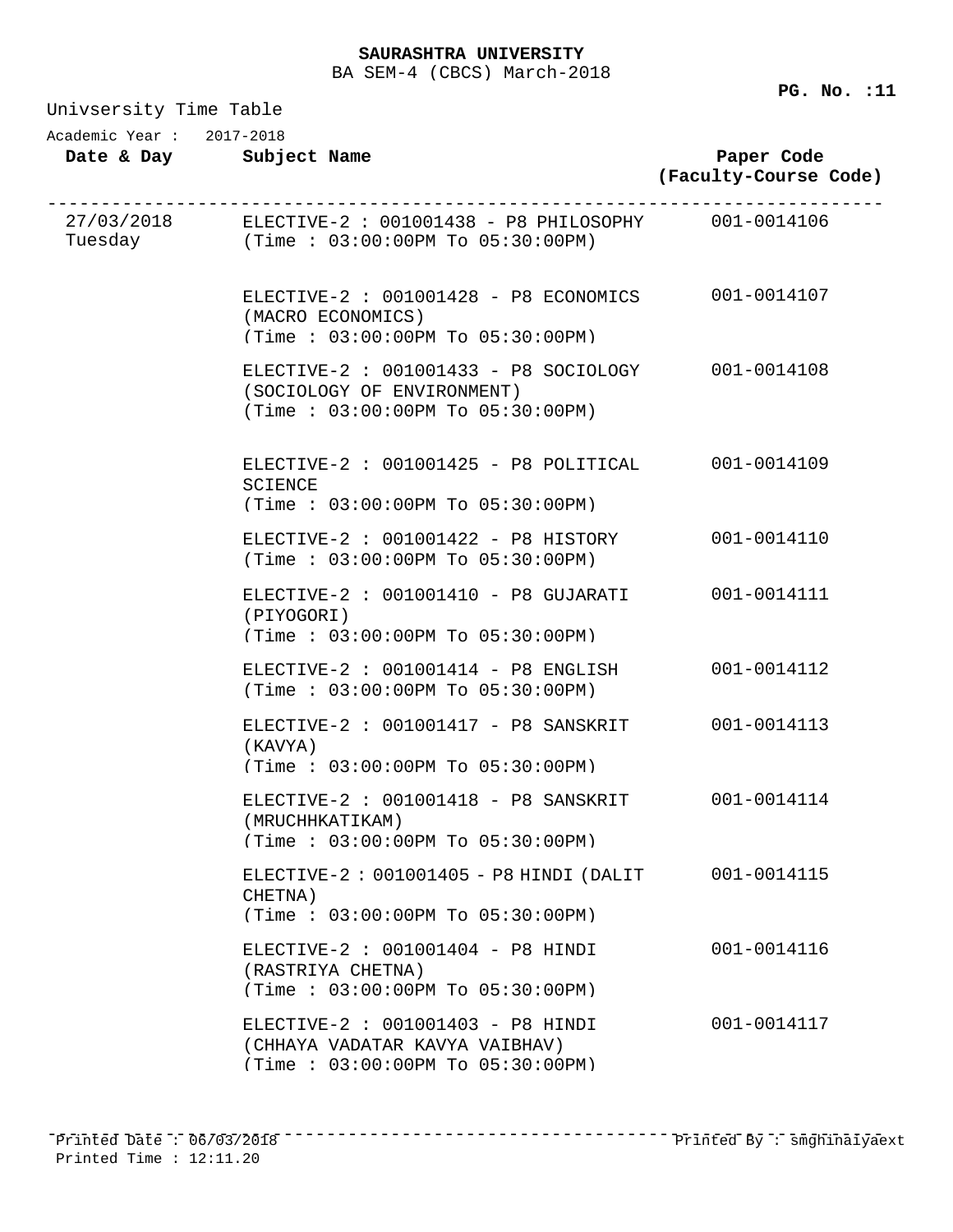| Univsersity Time Table |  |  |
|------------------------|--|--|
|------------------------|--|--|

**PG. No. :11** 

| UIL VUCLUICY IIMC IQUIS  |                                                                                                                     |                                     |
|--------------------------|---------------------------------------------------------------------------------------------------------------------|-------------------------------------|
| Academic Year: 2017-2018 | Date & Day Subject Name                                                                                             | Paper Code<br>(Faculty-Course Code) |
|                          | 27/03/2018 ELECTIVE-2: 001001438 - P8 PHILOSOPHY 001-0014106<br>Tuesday (Time : 03:00:00PM To 05:30:00PM)           | -----------------------------       |
|                          | ELECTIVE-2 : 001001428 - P8 ECONOMICS 001-0014107<br>(MACRO ECONOMICS)<br>(Time : 03:00:00PM T0 05:30:00PM)         |                                     |
|                          | ELECTIVE-2 : 001001433 - P8 SOCIOLOGY 001-0014108<br>(SOCIOLOGY OF ENVIRONMENT)<br>(Time: 03:00:00PM To 05:30:00PM) |                                     |
|                          | ELECTIVE-2 : 001001425 - P8 POLITICAL 001-0014109<br><b>SCIENCE</b><br>(Time: 03:00:00PM To 05:30:00PM)             |                                     |
|                          | ELECTIVE-2: 001001422 - P8 HISTORY<br>(Time : 03:00:00PM TO 05:30:00PM)                                             | 001-0014110                         |
|                          | ELECTIVE-2: 001001410 - P8 GUJARATI<br>(PIYOGORI)<br>(Time : 03:00:00PM T0 05:30:00PM)                              | 001-0014111                         |
|                          | ELECTIVE-2 : 001001414 - P8 ENGLISH<br>(Time : 03:00:00PM TO 05:30:00PM)                                            | 001-0014112                         |
|                          | ELECTIVE-2 : 001001417 - P8 SANSKRIT<br>(KAVYA)<br>(Time : 03:00:00PM T0 05:30:00PM)                                | 001-0014113                         |
|                          | ELECTIVE-2 : 001001418 - P8 SANSKRIT<br>(MRUCHHKATIKAM)<br>(Time: 03:00:00PM To 05:30:00PM)                         | 001-0014114                         |
|                          | ELECTIVE-2: 001001405 - P8 HINDI (DALIT<br>CHETNA)<br>(Time: 03:00:00PM To 05:30:00PM)                              | 001-0014115                         |
|                          | ELECTIVE-2 : 001001404 - P8 HINDI<br>(RASTRIYA CHETNA)<br>(Time: 03:00:00PM To 05:30:00PM)                          | 001-0014116                         |
|                          | ELECTIVE-2 : 001001403 - P8 HINDI<br>(CHHAYA VADATAR KAVYA VAIBHAV)                                                 | 001-0014117                         |

(Time : 03:00:00PM To 05:30:00PM)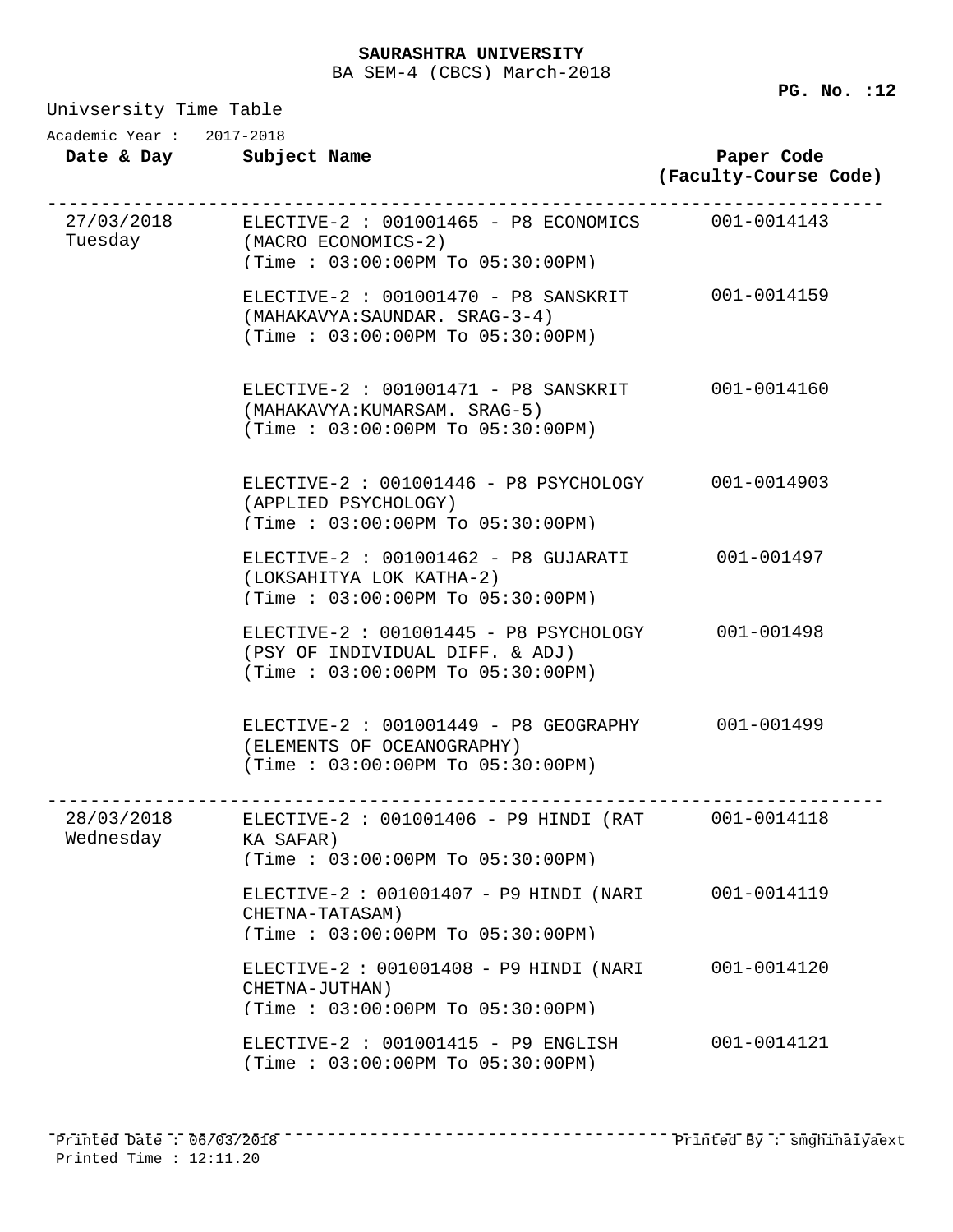| Univsersity Time Table   |                                                                                                                                 |                                     |  |  |
|--------------------------|---------------------------------------------------------------------------------------------------------------------------------|-------------------------------------|--|--|
| Academic Year: 2017-2018 | Date & Day Subject Name                                                                                                         | Paper Code<br>(Faculty-Course Code) |  |  |
|                          | 27/03/2018 ELECTIVE-2 : 001001465 - P8 ECONOMICS 001-0014143<br>Tuesday (MACRO ECONOMICS-2)<br>(Time: 03:00:00PM To 05:30:00PM) |                                     |  |  |
|                          | ELECTIVE-2 : 001001470 - P8 SANSKRIT 001-0014159<br>(MAHAKAVYA: SAUNDAR. SRAG-3-4)<br>(Time: 03:00:00PM To 05:30:00PM)          |                                     |  |  |
|                          | ELECTIVE-2 : 001001471 - P8 SANSKRIT 001-0014160<br>(MAHAKAVYA: KUMARSAM. SRAG-5)<br>(Time: 03:00:00PM To 05:30:00PM)           |                                     |  |  |
|                          | ELECTIVE-2: 001001446 - P8 PSYCHOLOGY 001-0014903<br>(APPLIED PSYCHOLOGY)<br>(Time : 03:00:00PM TO 05:30:00PM)                  |                                     |  |  |
|                          | ELECTIVE-2 : 001001462 - P8 GUJARATI 001-001497<br>(LOKSAHITYA LOK KATHA-2)<br>(Time: 03:00:00PM To 05:30:00PM)                 |                                     |  |  |
|                          | ELECTIVE-2: 001001445 - P8 PSYCHOLOGY 001-001498<br>(PSY OF INDIVIDUAL DIFF. & ADJ)<br>(Time: 03:00:00PM To 05:30:00PM)         |                                     |  |  |
|                          | ELECTIVE-2 : 001001449 - P8 GEOGRAPHY 001-001499<br>(ELEMENTS OF OCEANOGRAPHY)<br>(Time: 03:00:00PM To 05:30:00PM)              |                                     |  |  |
| 28/03/2018<br>Wednesday  | ELECTIVE-2: 001001406 - P9 HINDI (RAT 001-0014118<br>KA SAFAR)<br>(Time: 03:00:00PM To 05:30:00PM)                              |                                     |  |  |
|                          | ELECTIVE-2: 001001407 - P9 HINDI (NARI<br>CHETNA-TATASAM)<br>(Time: 03:00:00PM To 05:30:00PM)                                   | 001-0014119                         |  |  |
|                          | ELECTIVE-2: 001001408 - P9 HINDI (NARI<br>CHETNA-JUTHAN)<br>(Time: 03:00:00PM To 05:30:00PM)                                    | 001-0014120                         |  |  |
|                          | ELECTIVE-2 : 001001415 - P9 ENGLISH<br>(Time : 03:00:00PM TO 05:30:00PM)                                                        | 001-0014121                         |  |  |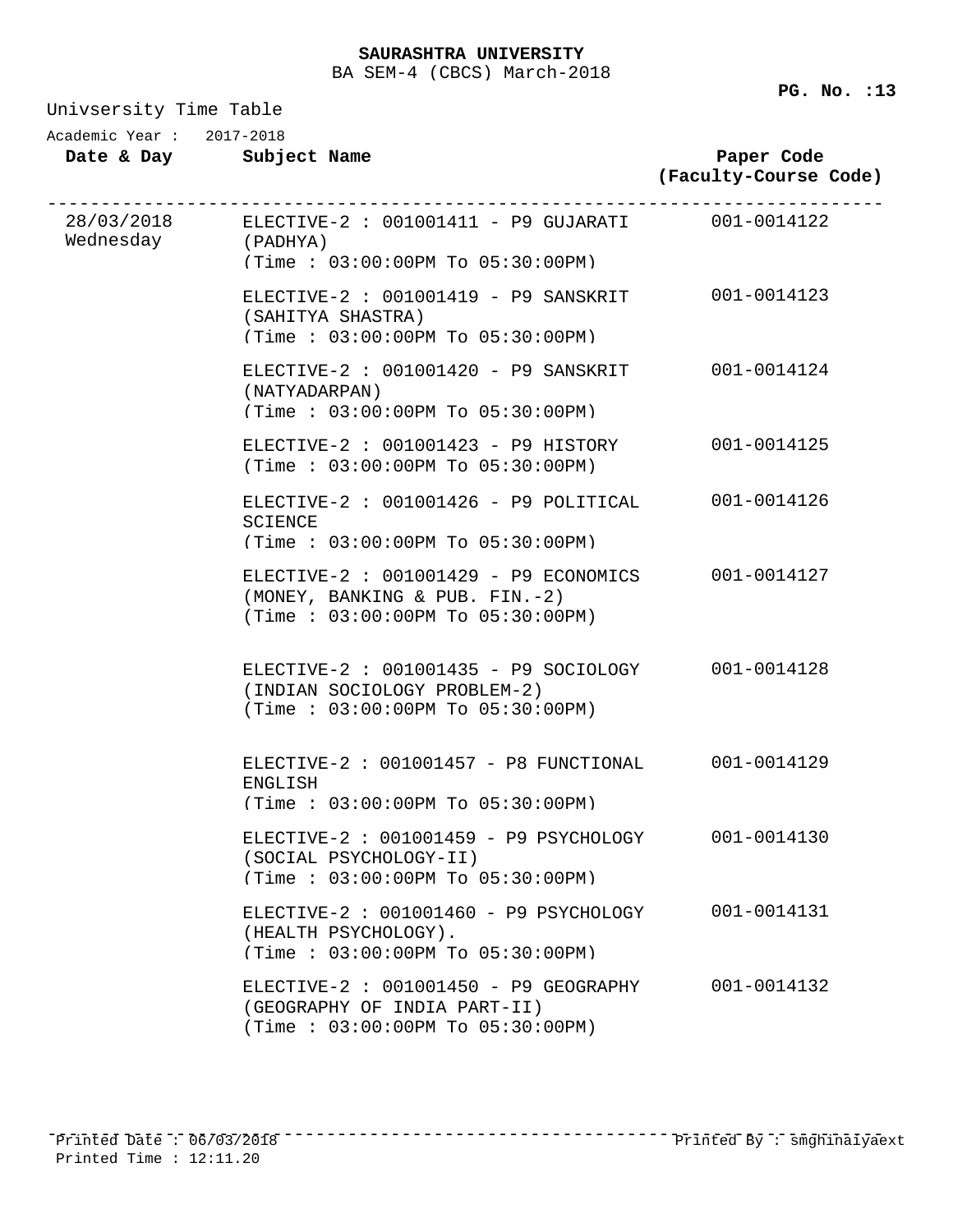Univsersity Time Table

| Academic Year : |  | 2017-2018 |
|-----------------|--|-----------|

| Date & Day |  |  | Subject Name |  |
|------------|--|--|--------------|--|
|------------|--|--|--------------|--|

| Paper Code            |  |
|-----------------------|--|
| (Faculty-Course Code) |  |
|                       |  |

| Wednesday | 28/03/2018 ELECTIVE-2 : 001001411 - P9 GUJARATI 001-0014122<br>(PADHYA)<br>(Time: 03:00:00PM To 05:30:00PM)             |             |
|-----------|-------------------------------------------------------------------------------------------------------------------------|-------------|
|           | ELECTIVE-2 : 001001419 - P9 SANSKRIT 001-0014123<br>(SAHITYA SHASTRA)<br>(Time: 03:00:00PM To 05:30:00PM)               |             |
|           | ELECTIVE-2 : 001001420 - P9 SANSKRIT 001-0014124<br>(NATYADARPAN)<br>(Time: 03:00:00PM To 05:30:00PM)                   |             |
|           | ELECTIVE-2 : 001001423 - P9 HISTORY<br>(Time : 03:00:00PM TO 05:30:00PM)                                                | 001-0014125 |
|           | ELECTIVE-2 : 001001426 - P9 POLITICAL 001-0014126<br><b>SCIENCE</b><br>(Time : 03:00:00PM T0 05:30:00PM)                |             |
|           | ELECTIVE-2 : 001001429 - P9 ECONOMICS 001-0014127<br>(MONEY, BANKING & PUB. FIN.-2)<br>(Time: 03:00:00PM To 05:30:00PM) |             |
|           | ELECTIVE-2 : 001001435 - P9 SOCIOLOGY 001-0014128<br>(INDIAN SOCIOLOGY PROBLEM-2)<br>(Time : 03:00:00PM TO 05:30:00PM)  |             |
|           | ELECTIVE-2: 001001457 - P8 FUNCTIONAL<br>ENGLISH<br>(Time: 03:00:00PM To 05:30:00PM)                                    | 001-0014129 |
|           | ELECTIVE-2: 001001459 - P9 PSYCHOLOGY 001-0014130<br>(SOCIAL PSYCHOLOGY-II)<br>(Time: 03:00:00PM To 05:30:00PM)         |             |
|           | ELECTIVE-2: 001001460 - P9 PSYCHOLOGY<br>(HEALTH PSYCHOLOGY).<br>(Time: 03:00:00PM To 05:30:00PM)                       | 001-0014131 |
|           | ELECTIVE-2 : 001001450 - P9 GEOGRAPHY<br>(GEOGRAPHY OF INDIA PART-II)<br>(Time: 03:00:00PM To 05:30:00PM)               | 001-0014132 |
|           |                                                                                                                         |             |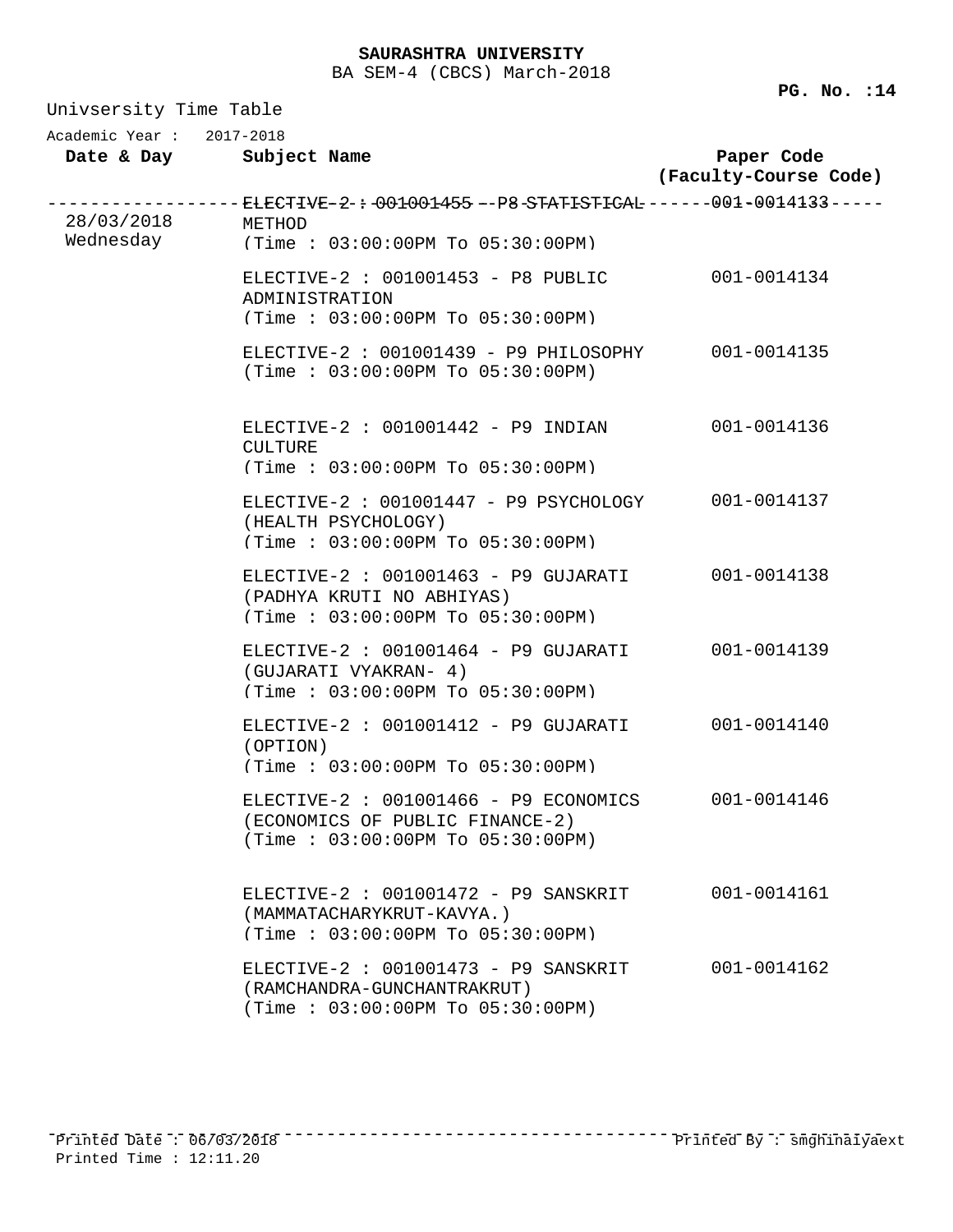| Univsersity Time Table   |                                                                                                               |                                     |  |
|--------------------------|---------------------------------------------------------------------------------------------------------------|-------------------------------------|--|
| Academic Year: 2017-2018 | Date & Day Subject Name                                                                                       | Paper Code<br>(Faculty-Course Code) |  |
| 28/03/2018               | ------- ELECTIVE-2-÷-001001455 --P8-STATISTICAL ------001-0014133-----<br>METHOD                              |                                     |  |
| Wednesday                | (Time: 03:00:00PM To 05:30:00PM)                                                                              |                                     |  |
|                          | ELECTIVE-2 : $001001453 - P8$ PUBLIC<br>ADMINISTRATION<br>(Time: 03:00:00PM To 05:30:00PM)                    | 001-0014134                         |  |
|                          | ELECTIVE-2: 001001439 - P9 PHILOSOPHY<br>(Time: 03:00:00PM To 05:30:00PM)                                     | 001-0014135                         |  |
|                          | ELECTIVE-2 : $001001442$ - P9 INDIAN<br><b>CULTURE</b><br>(Time: 03:00:00PM To 05:30:00PM)                    | 001-0014136                         |  |
|                          | ELECTIVE-2 : 001001447 - P9 PSYCHOLOGY<br>(HEALTH PSYCHOLOGY)<br>(Time: 03:00:00PM To 05:30:00PM)             | 001-0014137                         |  |
|                          | ELECTIVE-2 : 001001463 - P9 GUJARATI<br>(PADHYA KRUTI NO ABHIYAS)<br>(Time: 03:00:00PM To 05:30:00PM)         | 001-0014138                         |  |
|                          | ELECTIVE-2 : 001001464 - P9 GUJARATI<br>(GUJARATI VYAKRAN- 4)<br>(Time: 03:00:00PM To 05:30:00PM)             | 001-0014139                         |  |
|                          | $ELECTIVE-2: 001001412 - P9 GUJARATI$<br>(OPTION)<br>(Time: 03:00:00PM To 05:30:00PM)                         | 001-0014140                         |  |
|                          | ELECTIVE-2 : 001001466 - P9 ECONOMICS<br>(ECONOMICS OF PUBLIC FINANCE-2)<br>(Time : 03:00:00PM TO 05:30:00PM) | 001-0014146                         |  |
|                          | $ELECTIVE-2 : 001001472 - P9 SANSKRIT$<br>(MAMMATACHARYKRUT-KAVYA.)<br>(Time: 03:00:00PM To 05:30:00PM)       | 001-0014161                         |  |
|                          | $ELECTIVE-2: 001001473 - P9 SANSKRIT$<br>(RAMCHANDRA-GUNCHANTRAKRUT)<br>(Time : 03:00:00PM TO 05:30:00PM)     | $001 - 0014162$                     |  |